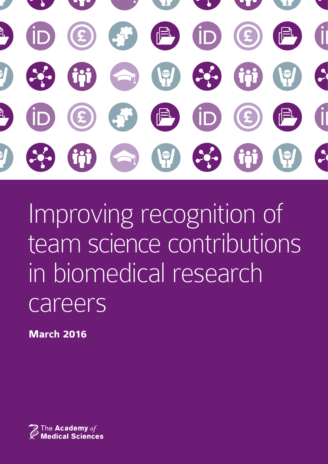

Improving recognition of team science contributions in biomedical research careers

**March 2016**

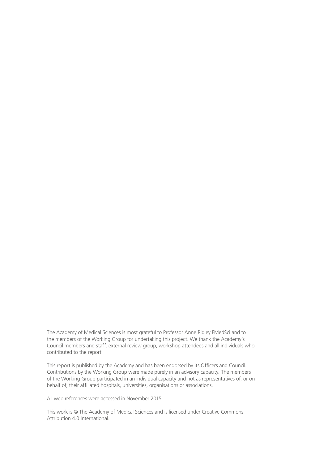The Academy of Medical Sciences is most grateful to Professor Anne Ridley FMedSci and to the members of the Working Group for undertaking this project. We thank the Academy's Council members and staff, external review group, workshop attendees and all individuals who contributed to the report.

This report is published by the Academy and has been endorsed by its Officers and Council. Contributions by the Working Group were made purely in an advisory capacity. The members of the Working Group participated in an individual capacity and not as representatives of, or on behalf of, their affiliated hospitals, universities, organisations or associations.

All web references were accessed in November 2015.

This work is © The Academy of Medical Sciences and is licensed under Creative Commons Attribution 4.0 International.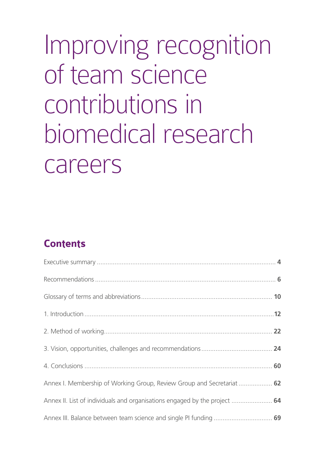# Improving recognition of team science contributions in biomedical research careers

# **Contents**

| Annex I. Membership of Working Group, Review Group and Secretariat  62     |  |
|----------------------------------------------------------------------------|--|
| Annex II. List of individuals and organisations engaged by the project  64 |  |
| Annex III. Balance between team science and single PI funding  69          |  |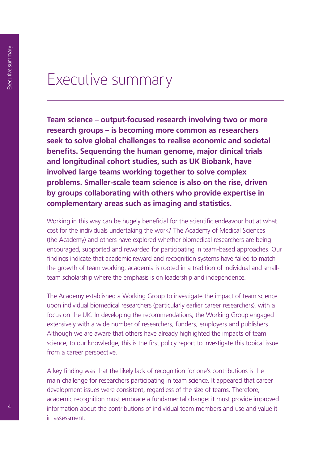# Executive summary

**Team science – output-focused research involving two or more research groups – is becoming more common as researchers seek to solve global challenges to realise economic and societal benefits. Sequencing the human genome, major clinical trials and longitudinal cohort studies, such as UK Biobank, have involved large teams working together to solve complex problems. Smaller-scale team science is also on the rise, driven by groups collaborating with others who provide expertise in complementary areas such as imaging and statistics.**

Working in this way can be hugely beneficial for the scientific endeavour but at what cost for the individuals undertaking the work? The Academy of Medical Sciences (the Academy) and others have explored whether biomedical researchers are being encouraged, supported and rewarded for participating in team-based approaches. Our findings indicate that academic reward and recognition systems have failed to match the growth of team working; academia is rooted in a tradition of individual and smallteam scholarship where the emphasis is on leadership and independence.

The Academy established a Working Group to investigate the impact of team science upon individual biomedical researchers (particularly earlier career researchers), with a focus on the UK. In developing the recommendations, the Working Group engaged extensively with a wide number of researchers, funders, employers and publishers. Although we are aware that others have already highlighted the impacts of team science, to our knowledge, this is the first policy report to investigate this topical issue from a career perspective.

A key finding was that the likely lack of recognition for one's contributions is the main challenge for researchers participating in team science. It appeared that career development issues were consistent, regardless of the size of teams. Therefore, academic recognition must embrace a fundamental change: it must provide improved information about the contributions of individual team members and use and value it in assessment.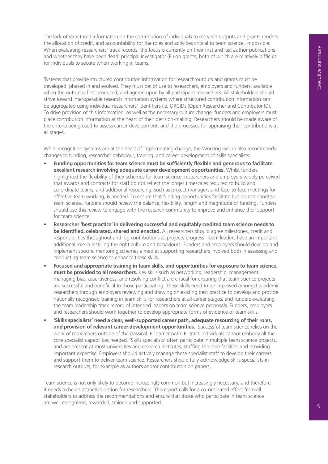The lack of structured information on the contribution of individuals to research outputs and grants renders the allocation of credit, and accountability for the roles and activities critical to team science, impossible. When evaluating researchers' track records, the focus is currently on their first and last author publications and whether they have been 'lead' principal investigator (PI) on grants, both of which are relatively difficult for individuals to secure when working in teams.

Systems that provide structured contribution information for research outputs and grants must be developed, phased in and evolved. They must be: of use to researchers, employers and funders; available when the output is first produced; and agreed upon by all participant researchers. All stakeholders should strive toward interoperable research information systems where structured contribution information can be aggregated using individual researchers' identifiers i.e. ORCIDs (Open Researcher and Contributor ID). To drive provision of this information, as well as the necessary culture change, funders and employers must place contribution information at the heart of their decision-making. Researchers should be made aware of the criteria being used to assess career development, and the processes for appraising their contributions at all stages.

While recognition systems are at the heart of implementing change, the Working Group also recommends changes to funding, researcher behaviour, training, and career development of skills specialists:

- **• Funding opportunities for team science must be sufficiently flexible and generous to facilitate excellent research involving adequate career development opportunities.** Whilst funders highlighted the flexibility of their schemes for team science, researchers and employers widely perceived that awards and contracts for staff do not reflect the longer timescales required to build and co-ordinate teams; and additional resourcing, such as project managers and face-to-face meetings for effective team working, is needed. To ensure that funding opportunities facilitate but do not prioritise team science, funders should review the balance, flexibility, length and magnitude of funding. Funders should use this review to engage with the research community to improve and enhance their support for team science. When translate the summarized control in the focus control is the first of the first hand between the summarized control in the summarized control in the summarized control in the summarized control in the summarized cont
- **• Researcher 'best practice' in delivering successful and equitably credited team science needs to be identified, celebrated, shared and enacted.** All researchers should agree milestones, credit and responsibilities throughout and log contributions as projects progress. Team leaders have an important additional role in instilling the right culture and behaviours. Funders and employers should develop and implement specific mentoring schemes aimed at supporting researchers involved both in assessing and conducting team science to enhance these skills.
- **• Focused and appropriate training in team skills, and opportunities for exposure to team science, must be provided to all researchers.** Key skills such as networking, leadership, management, managing bias, assertiveness, and resolving conflict are critical for ensuring that team science projects are successful and beneficial to those participating. These skills need to be improved amongst academic researchers through employers reviewing and drawing on existing best practice to develop and provide nationally recognised training in team skills for researchers at all career stages; and funders evaluating the team leadership track record of intended leaders on team science proposals. Funders, employers and researchers should work together to develop appropriate forms of evidence of team skills.
- **• 'Skills specialists' need a clear, well-supported career path, adequate resourcing of their roles, and provision of relevant career development opportunities.** Successful team science relies on the work of researchers outside of the classical 'PI' career path: PI-track individuals cannot embody all the core specialist capabilities needed. 'Skills specialists' often participate in multiple team science projects, and are present at most universities and research institutes, staffing the core facilities and providing important expertise. Employers should actively manage these specialist staff to develop their careers and support them to deliver team science. Researchers should fully acknowledge skills specialists in research outputs, for example as authors and/or contributors on papers.

Team science is not only likely to become increasingly common but increasingly necessary, and therefore it needs to be an attractive option for researchers. This report calls for a co-ordinated effort from all stakeholders to address the recommendations and ensure that those who participate in team science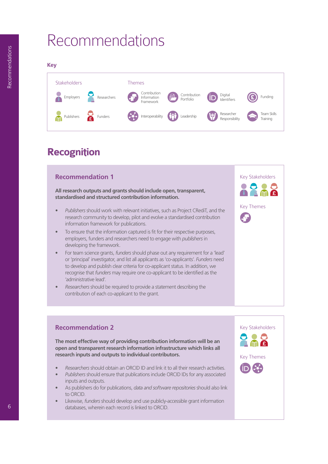# Recommendations



# **Recognition**

### **Recommendation 1**

**All research outputs and grants should include open, transparent, standardised and structured contribution information.**

- *• Publishers* should work with relevant initiatives, such as Project CRediT, and the research community to develop, pilot and evolve a standardised contribution information framework for publications.
- To ensure that the information captured is fit for their respective purposes, employers, funders and researchers need to engage with *publishers* in developing the framework.
- For team science grants, *funders* should phase out any requirement for a 'lead' or 'principal' investigator, and list all applicants as 'co-applicants'. *Funders* need to develop and publish clear criteria for co-applicant status. In addition, we recognise that *funders* may require one co-applicant to be identified as the 'administrative lead'.
- *• Researchers* should be required to provide a statement describing the contribution of each co-applicant to the grant.



### **Recommendation 2**

**The most effective way of providing contribution information will be an open and transparent research information infrastructure which links all research inputs and outputs to individual contributors.** 

- *• Researchers* should obtain an ORCID ID and link it to all their research activities.
- *• Publishers* should ensure that publications include ORCID IDs for any associated
- inputs and outputs. • As publishers do for publications, *data and software repositories* should also link to ORCID.
- Likewise, *funders* should develop and use publicly-accessible grant information databases, wherein each record is linked to ORCID.

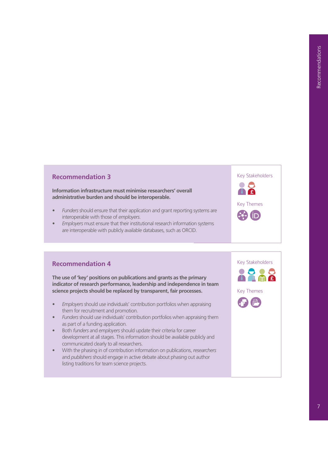#### **Recommendation 3**

#### **Information infrastructure must minimise researchers' overall administrative burden and should be interoperable.**

- *• Funders* should ensure that their application and grant reporting systems are interoperable with those of *employers*.
- *• Employers* must ensure that their institutional research information systems are interoperable with publicly available databases, such as ORCID.

#### **Recommendation 4**

**The use of 'key' positions on publications and grants as the primary indicator of research performance, leadership and independence in team science projects should be replaced by transparent, fair processes.**

- *• Employers* should use individuals' contribution portfolios when appraising them for recruitment and promotion.
- *• Funders* should use individuals' contribution portfolios when appraising them as part of a funding application.
- Both *funders* and *employers* should update their criteria for career development at all stages. This information should be available publicly and communicated clearly to all researchers.
- With the phasing in of contribution information on publications, *researchers* and *publishers* should engage in active debate about phasing out author listing traditions for team science projects.



Key Stakeholders

Key Themes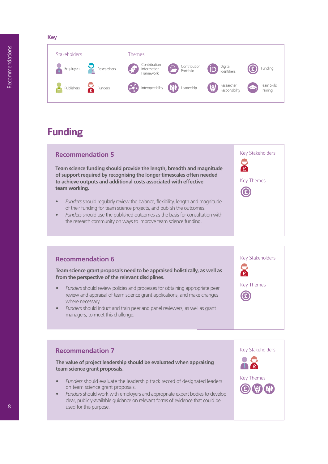**Key**



# **Funding**

# **Recommendation 5**

**Team science funding should provide the length, breadth and magnitude of support required by recognising the longer timescales often needed to achieve outputs and additional costs associated with effective team working.**

- *• Funders* should regularly review the balance, flexibility, length and magnitude of their funding for team science projects, and publish the outcomes.
- *• Funders* should use the published outcomes as the basis for consultation with the research community on ways to improve team science funding.

### **Recommendation 6**

**Team science grant proposals need to be appraised holistically, as well as from the perspective of the relevant disciplines.**

- *• Funders* should review policies and processes for obtaining appropriate peer review and appraisal of team science grant applications, and make changes where necessary.
- *• Funders* should induct and train peer and panel reviewers, as well as grant managers, to meet this challenge.

#### **Recommendation 7**

**The value of project leadership should be evaluated when appraising team science grant proposals.**

- *• Funders* should evaluate the leadership track record of designated leaders on team science grant proposals.
- *• Funders* should work with employers and appropriate expert bodies to develop clear, publicly-available guidance on relevant forms of evidence that could be used for this purpose.



Key Stakeholders

Key Stakeholders

Key Themes

œ

 $\mathcal{E}$ 

Key Themes

£

Œ

8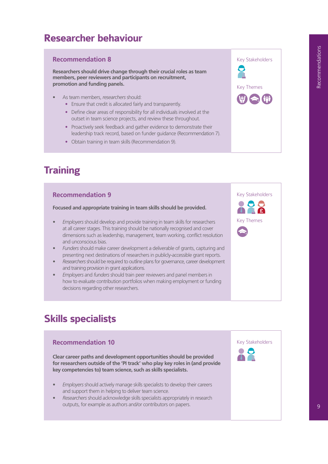# **Researcher behaviour**

#### **Recommendation 8**

**Researchers should drive change through their crucial roles as team members, peer reviewers and participants on recruitment, promotion and funding panels.** 

- As team members, *researchers* should:
	- **•** Ensure that credit is allocated fairly and transparently.
	- **•** Define clear areas of responsibility for all individuals involved at the outset in team science projects, and review these throughout.
	- **•** Proactively seek feedback and gather evidence to demonstrate their leadership track record, based on funder guidance (Recommendation 7).
	- **•** Obtain training in team skills (Recommendation 9).

# **Training**

#### **Recommendation 9**

**Focused and appropriate training in team skills should be provided.**

- *• Employers* should develop and provide training in team skills for researchers at all career stages. This training should be nationally recognised and cover dimensions such as leadership, management, team working, conflict resolution and unconscious bias.
- *• Funders* should make career development a deliverable of grants, capturing and presenting next destinations of researchers in publicly-accessible grant reports.
- *• Researchers* should be required to outline plans for governance, career development and training provision in grant applications.
- *• Employers* and *funders* should train peer reviewers and panel members in how to evaluate contribution portfolios when making employment or funding decisions regarding other researchers.

# **Skills specialists**

# **Recommendation 10 Clear career paths and development opportunities should be provided for researchers outside of the 'PI track' who play key roles in (and provide key competencies to) team science, such as skills specialists.** *• Employers* should actively manage skills specialists to develop their careers and support them in helping to deliver team science.

*• Researchers* should acknowledge skills specialists appropriately in research outputs, for example as authors and/or contributors on papers.





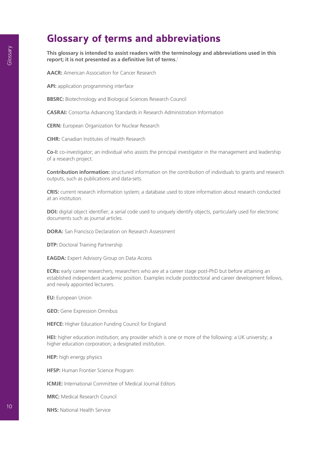# **Glossary of terms and abbreviations**

**This glossary is intended to assist readers with the terminology and abbreviations used in this report; it is not presented as a definitive list of terms.**<sup>1</sup>

**AACR:** American Association for Cancer Research

**API:** application programming interface

**BBSRC:** Biotechnology and Biological Sciences Research Council

**CASRAI:** Consortia Advancing Standards in Research Administration Information

**CERN:** European Organization for Nuclear Research

**CIHR:** Canadian Institutes of Health Research

**Co-I:** co-investigator; an individual who assists the principal investigator in the management and leadership of a research project.

**Contribution information:** structured information on the contribution of individuals to grants and research outputs, such as publications and data-sets.

**CRIS:** current research information system; a database used to store information about research conducted at an institution.

**DOI:** digital object identifier; a serial code used to uniquely identify objects, particularly used for electronic documents such as journal articles.

**DORA:** San Francisco Declaration on Research Assessment

**DTP: Doctoral Training Partnership** 

**EAGDA:** Expert Advisory Group on Data Access

**ECRs:** early career researchers; researchers who are at a career stage post-PhD but before attaining an established independent academic position. Examples include postdoctoral and career development fellows, and newly appointed lecturers.

**EU:** European Union

**GEO:** Gene Expression Omnibus

**HEFCE:** Higher Education Funding Council for England

**HEI:** higher education institution; any provider which is one or more of the following: a UK university; a higher education corporation; a designated institution.

**HEP:** high energy physics

**HFSP:** Human Frontier Science Program

**ICMJE:** International Committee of Medical Journal Editors

**MRC:** Medical Research Council

**NHS:** National Health Service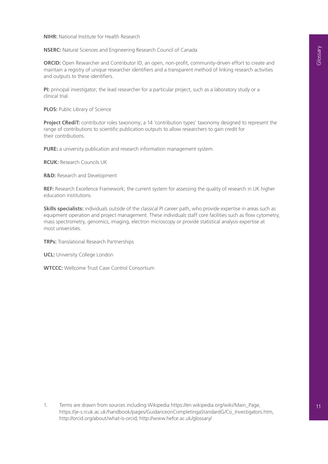**NIHR:** National Institute for Health Research

**NSERC:** Natural Sciences and Engineering Research Council of Canada

**ORCID:** Open Researcher and Contributor ID; an open, non-profit, community-driven effort to create and maintain a registry of unique researcher identifiers and a transparent method of linking research activities and outputs to these identifiers.

**PI:** principal investigator; the lead researcher for a particular project, such as a laboratory study or a clinical trial.

**PLOS:** Public Library of Science

**Project CRediT:** contributor roles taxonomy; a 14 'contribution types' taxonomy designed to represent the range of contributions to scientific publication outputs to allow researchers to gain credit for their contributions.

**PURE:** a university publication and research information management system.

**RCUK:** Research Councils UK

**R&D:** Research and Development

**REF:** Research Excellence Framework; the current system for assessing the quality of research in UK higher education institutions.

**Skills specialists:** individuals outside of the classical PI career path, who provide expertise in areas such as equipment operation and project management. These individuals staff core facilities such as flow cytometry, mass spectrometry, genomics, imaging, electron microscopy or provide statistical analysis expertise at most universities.

**TRPs:** Translational Research Partnerships

**UCL:** University College London

**WTCCC:** Wellcome Trust Case Control Consortium

1. Terms are drawn from sources including Wikipedia https://en.wikipedia.org/wiki/Main\_Page, https://je-s.rcuk.ac.uk/handbook/pages/GuidanceonCompletingaStandardG/Co\_Investigators.htm, http://orcid.org/about/what-is-orcid; http://www.hefce.ac.uk/glossary/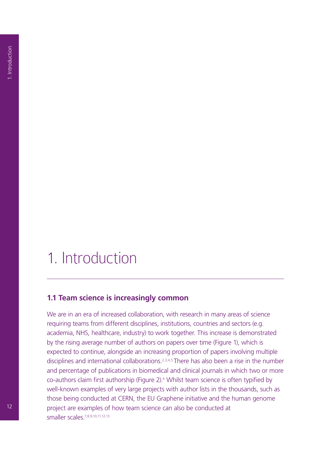# 1. Introduction

#### **1.1 Team science is increasingly common**

We are in an era of increased collaboration, with research in many areas of science requiring teams from different disciplines, institutions, countries and sectors (e.g. academia, NHS, healthcare, industry) to work together. This increase is demonstrated by the rising average number of authors on papers over time (Figure 1), which is expected to continue, alongside an increasing proportion of papers involving multiple disciplines and international collaborations.<sup>2,3,4,5</sup> There has also been a rise in the number and percentage of publications in biomedical and clinical journals in which two or more co-authors claim first authorship (Figure 2).6 Whilst team science is often typified by well-known examples of very large projects with author lists in the thousands, such as those being conducted at CERN, the EU Graphene initiative and the human genome project are examples of how team science can also be conducted at smaller scales.7,8,9,10,11,12,13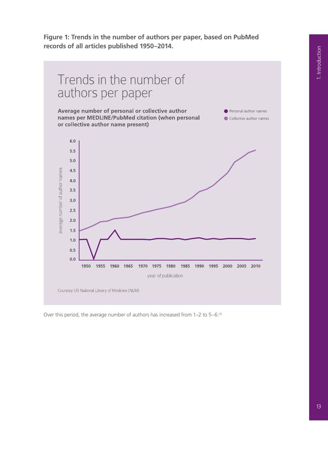**Figure 1: Trends in the number of authors per paper, based on PubMed records of all articles published 1950–2014.**



Over this period, the average number of authors has increased from 1–2 to 5–6.14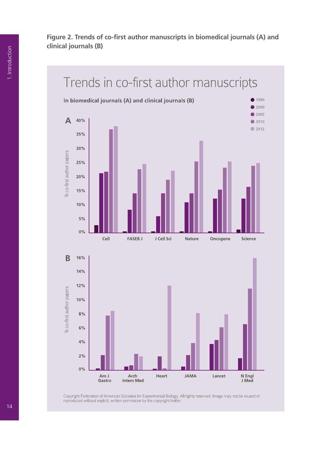**Figure 2. Trends of co-first author manuscripts in biomedical journals (A) and clinical journals (B)**



Copyright Federation of American Societies for Experimental Biology. All rights reserved. Image may not be reused or<br>reproduced without explicit, written permission by the copyright holder.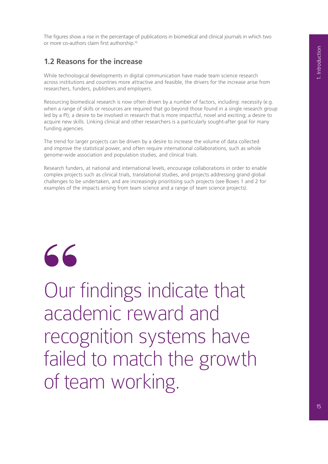The figures show a rise in the percentage of publications in biomedical and clinical journals in which two or more co-authors claim first authorship.15

# **1.2 Reasons for the increase**

While technological developments in digital communication have made team science research across institutions and countries more attractive and feasible, the drivers for the increase arise from researchers, funders, publishers and employers.

Resourcing biomedical research is now often driven by a number of factors, including: necessity (e.g. when a range of skills or resources are required that go beyond those found in a single research group led by a PI); a desire to be involved in research that is more impactful, novel and exciting; a desire to acquire new skills. Linking clinical and other researchers is a particularly sought-after goal for many funding agencies.

The trend for larger projects can be driven by a desire to increase the volume of data collected and improve the statistical power, and often require international collaborations, such as whole genome-wide association and population studies, and clinical trials.

Research funders, at national and international levels, encourage collaborations in order to enable complex projects such as clinical trials, translational studies, and projects addressing grand global challenges to be undertaken, and are increasingly prioritising such projects (see Boxes 1 and 2 for examples of the impacts arising from team science and a range of team science projects).

"

Our findings indicate that academic reward and recognition systems have failed to match the growth of team working.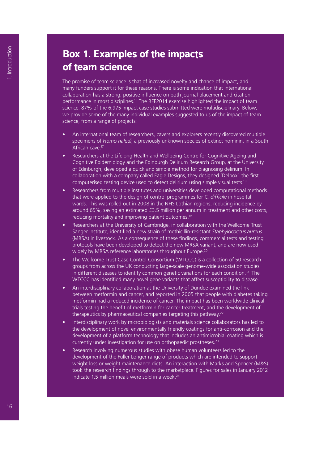# **Box 1. Examples of the impacts of team science**

The promise of team science is that of increased novelty and chance of impact, and many funders support it for these reasons. There is some indication that international collaboration has a strong, positive influence on both journal placement and citation performance in most disciplines.<sup>16</sup> The REF2014 exercise highlighted the impact of team science: 87% of the 6,975 impact case studies submitted were multidisciplinary. Below, we provide some of the many individual examples suggested to us of the impact of team science, from a range of projects:

- An international team of researchers, cavers and explorers recently discovered multiple specimens of *Homo naledi*, a previously unknown species of extinct hominin, in a South African cave.17
- Researchers at the Lifelong Health and Wellbeing Centre for Cognitive Ageing and Cognitive Epidemiology and the Edinburgh Delirium Research Group, at the University of Edinburgh, developed a quick and simple method for diagnosing delirium. In collaboration with a company called Eagle Designs, they designed 'Delbox', the first computerised testing device used to detect delirium using simple visual tests.18
- Researchers from multiple institutes and universities developed computational methods that were applied to the design of control programmes for *C. difficile* in hospital wards. This was rolled out in 2008 in the NHS Lothian regions, reducing incidence by around 65%, saving an estimated £3.5 million per annum in treatment and other costs, reducing mortality and improving patient outcomes.19
- Researchers at the University of Cambridge, in collaboration with the Wellcome Trust Sanger Institute, identified a new strain of methicillin-resistant *Staphylococcus aureus* (MRSA) in livestock. As a consequence of these findings, commercial tests and testing protocols have been developed to detect the new MRSA variant, and are now used widely by MRSA reference laboratories throughout Europe.<sup>20</sup>
- The Wellcome Trust Case Control Consortium (WTCCC) is a collection of 50 research groups from across the UK conducting large-scale genome-wide association studies in different diseases to identify common genetic variations for each condition. 21 The WTCCC has identified many novel gene variants that affect susceptibility to disease.
- An interdisciplinary collaboration at the University of Dundee examined the link between metformin and cancer, and reported in 2005 that people with diabetes taking metformin had a reduced incidence of cancer. The impact has been worldwide clinical trials testing the benefit of metformin for cancer treatment, and the development of therapeutics by pharmaceutical companies targeting this pathway.<sup>22</sup>
- Interdisciplinary work by microbiologists and materials science collaborators has led to the development of novel environmentally friendly coatings for anti-corrosion and the development of a platform technology that includes an antimicrobial coating which is currently under investigation for use on orthopaedic prostheses.<sup>23</sup>
- Research involving numerous studies with obese human volunteers led to the development of the Fuller Longer range of products which are intended to support weight loss or weight maintenance diets. An interaction with Marks and Spencer (M&S) took the research findings through to the marketplace. Figures for sales in January 2012 indicate 1.5 million meals were sold in a week. $24$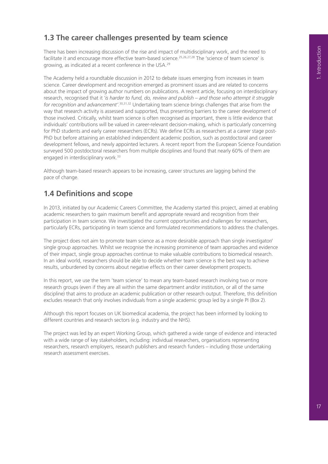# **1.3 The career challenges presented by team science**

There has been increasing discussion of the rise and impact of multidisciplinary work, and the need to facilitate it and encourage more effective team-based science.<sup>25,26,27,28</sup> The 'science of team science' is growing, as indicated at a recent conference in the USA.29

The Academy held a roundtable discussion in 2012 to debate issues emerging from increases in team science. Career development and recognition emerged as prominent issues and are related to concerns about the impact of growing author numbers on publications. A recent article, focusing on interdisciplinary research, recognised that it '*is harder to fund, do, review and publish – and those who attempt it struggle for recognition and advancement'*. 30,31,32 Undertaking team science brings challenges that arise from the way that research activity is assessed and supported, thus presenting barriers to the career development of those involved. Critically, whilst team science is often recognised as important, there is little evidence that individuals' contributions will be valued in career-relevant decision-making, which is particularly concerning for PhD students and early career researchers (ECRs). We define ECRs as researchers at a career stage post-PhD but before attaining an established independent academic position, such as postdoctoral and career development fellows, and newly appointed lecturers. A recent report from the European Science Foundation surveyed 500 postdoctoral researchers from multiple disciplines and found that nearly 60% of them are engaged in interdisciplinary work.<sup>33</sup>

Although team-based research appears to be increasing, career structures are lagging behind the pace of change.

# **1.4 Definitions and scope**

In 2013, initiated by our Academic Careers Committee, the Academy started this project, aimed at enabling academic researchers to gain maximum benefit and appropriate reward and recognition from their participation in team science. We investigated the current opportunities and challenges for researchers, particularly ECRs, participating in team science and formulated recommendations to address the challenges.

The project does not aim to promote team science as a more desirable approach than single investigator/ single group approaches. Whilst we recognise the increasing prominence of team approaches and evidence of their impact, single group approaches continue to make valuable contributions to biomedical research. In an ideal world, researchers should be able to decide whether team science is the best way to achieve results, unburdened by concerns about negative effects on their career development prospects.

In this report, we use the term 'team science' to mean any team-based research involving two or more research groups (even if they are all within the same department and/or institution, or all of the same discipline) that aims to produce an academic publication or other research output. Therefore, this definition excludes research that only involves individuals from a single academic group led by a single PI (Box 2).

Although this report focuses on UK biomedical academia, the project has been informed by looking to different countries and research sectors (e.g. industry and the NHS).

The project was led by an expert Working Group, which gathered a wide range of evidence and interacted with a wide range of key stakeholders, including: individual researchers, organisations representing researchers, research employers, research publishers and research funders – including those undertaking research assessment exercises.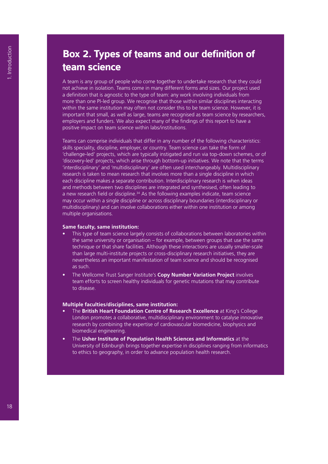# **Box 2. Types of teams and our definition of team science**

A team is any group of people who come together to undertake research that they could not achieve in isolation. Teams come in many different forms and sizes. Our project used a definition that is agnostic to the type of team: any work involving individuals from more than one PI-led group. We recognise that those within similar disciplines interacting within the same institution may often not consider this to be team science. However, it is important that small, as well as large, teams are recognised as team science by researchers, employers and funders. We also expect many of the findings of this report to have a positive impact on team science within labs/institutions.

Teams can comprise individuals that differ in any number of the following characteristics: skills speciality, discipline, employer, or country. Team science can take the form of 'challenge-led' projects, which are typically instigated and run via top-down schemes, or of 'discovery-led' projects, which arise through bottom-up initiatives. We note that the terms 'interdisciplinary' and 'multidisciplinary' are often used interchangeably. Multidisciplinary research is taken to mean research that involves more than a single discipline in which each discipline makes a separate contribution. Interdisciplinary research is when ideas and methods between two disciplines are integrated and synthesised, often leading to a new research field or discipline.<sup>34</sup> As the following examples indicate, team science may occur within a single discipline or across disciplinary boundaries (interdisciplinary or multidisciplinary) and can involve collaborations either within one institution or among multiple organisations.

#### **Same faculty, same institution:**

- This type of team science largely consists of collaborations between laboratories within the same university or organisation – for example, between groups that use the same technique or that share facilities. Although these interactions are usually smaller-scale than large multi-institute projects or cross-disciplinary research initiatives, they are nevertheless an important manifestation of team science and should be recognised as such.
- The Wellcome Trust Sanger Institute's **Copy Number Variation Project** involves team efforts to screen healthy individuals for genetic mutations that may contribute to disease.

#### **Multiple faculties/disciplines, same institution:**

- The **British Heart Foundation Centre of Research Excellence** at King's College London promotes a collaborative, multidisciplinary environment to catalyse innovative research by combining the expertise of cardiovascular biomedicine, biophysics and biomedical engineering.
- The **Usher Institute of Population Health Sciences and Informatics** at the University of Edinburgh brings together expertise in disciplines ranging from informatics to ethics to geography, in order to advance population health research.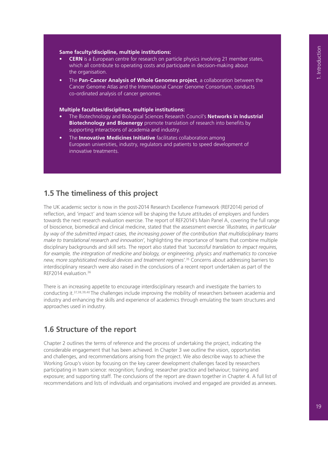#### **Same faculty/discipline, multiple institutions:**

- **• CERN** is a European centre for research on particle physics involving 21 member states, which all contribute to operating costs and participate in decision-making about the organisation.
- The **Pan-Cancer Analysis of Whole Genomes project**, a collaboration between the Cancer Genome Atlas and the International Cancer Genome Consortium, conducts co-ordinated analysis of cancer genomes.

#### **Multiple faculties/disciplines, multiple institutions:**

- The Biotechnology and Biological Sciences Research Council's **Networks in Industrial Biotechnology and Bioenergy** promote translation of research into benefits by supporting interactions of academia and industry.
- The **Innovative Medicines Initiative** facilitates collaboration among European universities, industry, regulators and patients to speed development of innovative treatments.

# **1.5 The timeliness of this project**

The UK academic sector is now in the post-2014 Research Excellence Framework (REF2014) period of reflection, and 'impact' and team science will be shaping the future attitudes of employers and funders towards the next research evaluation exercise. The report of REF2014's Main Panel A, covering the full range of bioscience, biomedical and clinical medicine, stated that the assessment exercise *'illustrates, in particular by way of the submitted impact cases, the increasing power of the contribution that multidisciplinary teams make to translational research and innovation',* highlighting the importance of teams that combine multiple disciplinary backgrounds and skill sets. The report also stated that *'successful translation to impact requires, for example, the integration of medicine and biology, or engineering, physics and mathematics to conceive new, more sophisticated medical devices and treatment regimes'.*35 Concerns about addressing barriers to interdisciplinary research were also raised in the conclusions of a recent report undertaken as part of the REF2014 evaluation.36

There is an increasing appetite to encourage interdisciplinary research and investigate the barriers to conducting it.37,38,39,40 The challenges include improving the mobility of researchers between academia and industry and enhancing the skills and experience of academics through emulating the team structures and approaches used in industry.

### **1.6 Structure of the report**

Chapter 2 outlines the terms of reference and the process of undertaking the project, indicating the considerable engagement that has been achieved. In Chapter 3 we outline the vision, opportunities and challenges, and recommendations arising from the project. We also describe ways to achieve the Working Group's vision by focusing on the key career development challenges faced by researchers participating in team science: recognition; funding; researcher practice and behaviour; training and exposure; and supporting staff. The conclusions of the report are drawn together in Chapter 4. A full list of recommendations and lists of individuals and organisations involved and engaged are provided as annexes.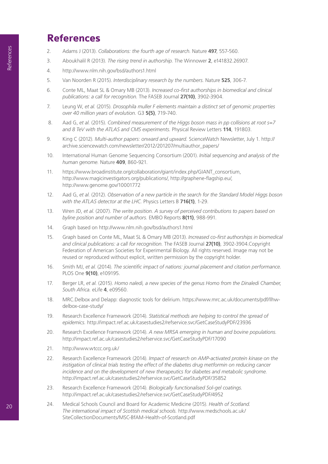# **References**

- 2. Adams J (2013). *Collaborations: the fourth age of research.* Nature **497**, 557-560.
- 3. Aboukhalil R (2013). *The rising trend in authorship.* The Winnower **2**, e141832.26907.
- 4. http://www.nlm.nih.gov/bsd/authors1.html
- 5. Van Noorden R (2015). *Interdisciplinary research by the numbers.* Nature **525**, 306-7.
- 6. Conte ML, Maat SL & Omary MB (2013). *Increased co-first authorships in biomedical and clinical publications: a call for recognition.* The FASEB Journal **27(10)**, 3902-3904.
- 7. Leung W, *et al.* (2015). *Drosophila muller F elements maintain a distinct set of genomic properties over 40 million years of evolution.* G3 **5(5)**, 719-740.
- 8. Aad G, *et al.* (2015). *Combined measurement of the Higgs boson mass in pp collisions at root s=7 and 8 TeV with the ATLAS and CMS experiments.* Physical Review Letters **114**, 191803.
- 9. King C (2012). *Multi-author papers: onward and upward.* ScienceWatch Newsletter, July 1. http:// archive.sciencewatch.com/newsletter/2012/201207/multiauthor\_papers/
- 10. International Human Genome Sequencing Consortium (2001). *Initial sequencing and analysis of the human genome.* Nature **409**, 860-921.
- 11. https://www.broadinstitute.org/collaboration/giant/index.php/GIANT\_consortium, http://www.magicinvestigators.org/publications/, http://graphene-flagship.eu/, http://www.genome.gov/10001772
- 12. Aad G, *et al.* (2012). *Observation of a new particle in the search for the Standard Model Higgs boson with the ATLAS detector at the LHC.* Physics Letters B **716(1)**, 1-29.
- 13. Wren JD, *et al.* (2007). *The write position. A survey of perceived contributions to papers based on byline position and number of authors.* EMBO Reports **8(11)**, 988-991.
- 14. Graph based on http://www.nlm.nih.gov/bsd/authors1.html
- 15. Graph based on Conte ML, Maat SL & Omary MB (2013). *Increased co-first authorships in biomedical and clinical publications: a call for recognition.* The FASEB Journal **27(10)**, 3902-3904.Copyright Federation of American Societies for Experimental Biology. All rights reserved. Image may not be reused or reproduced without explicit, written permission by the copyright holder.
- 16. Smith MJ, *et al.* (2014). *The scientific impact of nations: journal placement and citation performance.* PLOS One **9(10)**, e109195.
- 17. Berger LR, *et al.* (2015). *Homo naledi, a new species of the genus Homo from the Dinaledi Chamber, South Africa.* eLife **4**, e09560.
- 18. MRC.Delbox and Delapp: diagnostic tools for delirium. https://www.mrc.ac.uk/documents/pdf/llhwdelbox-case-study/
- 19. Research Excellence Framework (2014). *Statistical methods are helping to control the spread of epidemics.* http://impact.ref.ac.uk/casestudies2/refservice.svc/GetCaseStudyPDF/23936
- 20. Research Excellence Framework (2014). *A new MRSA emerging in human and bovine populations.* http://impact.ref.ac.uk/casestudies2/refservice.svc/GetCaseStudyPDF/17090
- 21. http://www.wtccc.org.uk/
- 22. Research Excellence Framework (2014). *Impact of research on AMP-activated protein kinase on the instigation of clinical trials testing the effect of the diabetes drug metformin on reducing cancer incidence and on the development of new therapeutics for diabetes and metabolic syndrome.*  http://impact.ref.ac.uk/casestudies2/refservice.svc/GetCaseStudyPDF/35852
- 23. Research Excellence Framework (2014). *Biologically functionalised Sol-gel coatings.*  http://impact.ref.ac.uk/casestudies2/refservice.svc/GetCaseStudyPDF/4952
- 24. Medical Schools Council and Board for Academic Medicine (2015). *Health of Scotland. The international impact of Scottish medical schools.* http://www.medschools.ac.uk/ SiteCollectionDocuments/MSC-BfAM-Health-of-Scotland.pdf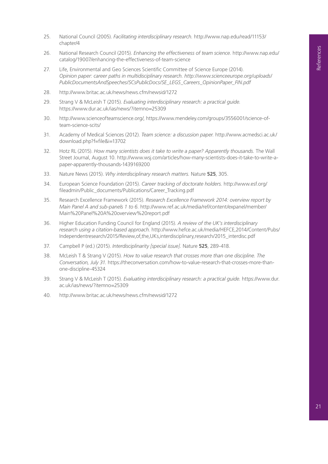- 25. National Council (2005). *Facilitating interdisciplinary research.* http://www.nap.edu/read/11153/ chapter/4
- 26. National Research Council (2015). *Enhancing the effectiveness of team science.* http://www.nap.edu/ catalog/19007/enhancing-the-effectiveness-of-team-science
- 27. Life, Environmental and Geo Sciences Scientific Committee of Science Europe (2014). *Opinion paper: career paths in multidisciplinary research. http://www.scienceeurope.org/uploads/ PublicDocumentsAndSpeeches/SCsPublicDocs/SE\_LEGS\_Careers\_OpinionPaper\_FIN.pdf*
- 28. http://www.britac.ac.uk/news/news.cfm/newsid/1272
- 29. Strang V & McLeish T (2015). *Evaluating interdisciplinary research: a practical guide.* https://www.dur.ac.uk/ias/news/?itemno=25309
- 30. http://www.scienceofteamscience.org/, https://www.mendeley.com/groups/3556001/science-ofteam-science-scits/
- 31. Academy of Medical Sciences (2012). *Team science: a discussion paper.* http://www.acmedsci.ac.uk/ download.php?f=file&i=13702
- 32. Hotz RL (2015). *How many scientists does it take to write a paper? Apparently thousands.* The Wall Street Journal, August 10. http://www.wsj.com/articles/how-many-scientists-does-it-take-to-write-apaper-apparently-thousands-1439169200
- 33. Nature News (2015). *Why interdisciplinary research matters.* Nature **525**, 305.
- 34. European Science Foundation (2015). *Career tracking of doctorate holders.* http://www.esf.org/ fileadmin/Public\_documents/Publications/Career\_Tracking.pdf
- 35. Research Excellence Framework (2015). *Research Excellence Framework 2014: overview report by Main Panel A and sub-panels 1 to 6.* http://www.ref.ac.uk/media/ref/content/expanel/member/ Main%20Panel%20A%20overview%20report.pdf
- 36. Higher Education Funding Council for England (2015). *A review of the UK's interdisciplinary research using a citation-based approach.* http://www.hefce.ac.uk/media/HEFCE,2014/Content/Pubs/ Independentresearch/2015/Review,of,the,UKs,interdisciplinary,research/2015\_interdisc.pdf
- 37. Campbell P (ed.) (2015). *Interdisciplinarity [special issue].* Nature **525**, 289-418.
- 38. McLeish T & Strang V (2015). *How to value research that crosses more than one discipline. The Conversation, July 31.* https://theconversation.com/how-to-value-research-that-crosses-more-thanone-discipline-45324
- 39. Strang V & McLeish T (2015). *Evaluating interdisciplinary research: a practical guide.* https://www.dur. ac.uk/ias/news/?itemno=25309
- 40. http://www.britac.ac.uk/news/news.cfm/newsid/1272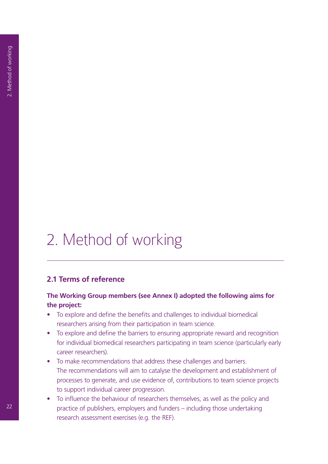# 2. Method of working

# **2.1 Terms of reference**

### **The Working Group members (see Annex I) adopted the following aims for the project:**

- To explore and define the benefits and challenges to individual biomedical researchers arising from their participation in team science.
- To explore and define the barriers to ensuring appropriate reward and recognition for individual biomedical researchers participating in team science (particularly early career researchers).
- To make recommendations that address these challenges and barriers. The recommendations will aim to catalyse the development and establishment of processes to generate, and use evidence of, contributions to team science projects to support individual career progression.
- To influence the behaviour of researchers themselves, as well as the policy and practice of publishers, employers and funders – including those undertaking research assessment exercises (e.g. the REF).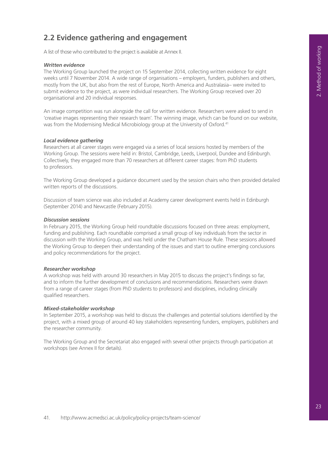# **2.2 Evidence gathering and engagement**

A list of those who contributed to the project is available at Annex II.

#### *Written evidence*

The Working Group launched the project on 15 September 2014, collecting written evidence for eight weeks until 7 November 2014. A wide range of organisations – employers, funders, publishers and others, mostly from the UK, but also from the rest of Europe, North America and Australasia– were invited to submit evidence to the project, as were individual researchers. The Working Group received over 20 organisational and 20 individual responses.

An image competition was run alongside the call for written evidence. Researchers were asked to send in 'creative images representing their research team'. The winning image, which can be found on our website, was from the Modernising Medical Microbiology group at the University of Oxford.41

#### *Local evidence gathering*

Researchers at all career stages were engaged via a series of local sessions hosted by members of the Working Group. The sessions were held in: Bristol, Cambridge, Leeds, Liverpool, Dundee and Edinburgh. Collectively, they engaged more than 70 researchers at different career stages: from PhD students to professors.

The Working Group developed a guidance document used by the session chairs who then provided detailed written reports of the discussions.

Discussion of team science was also included at Academy career development events held in Edinburgh (September 2014) and Newcastle (February 2015).

#### *Discussion sessions*

In February 2015, the Working Group held roundtable discussions focused on three areas: employment, funding and publishing. Each roundtable comprised a small group of key individuals from the sector in discussion with the Working Group, and was held under the Chatham House Rule. These sessions allowed the Working Group to deepen their understanding of the issues and start to outline emerging conclusions and policy recommendations for the project.

#### *Researcher workshop*

A workshop was held with around 30 researchers in May 2015 to discuss the project's findings so far, and to inform the further development of conclusions and recommendations. Researchers were drawn from a range of career stages (from PhD students to professors) and disciplines, including clinically qualified researchers.

#### *Mixed-stakeholder workshop*

In September 2015, a workshop was held to discuss the challenges and potential solutions identified by the project, with a mixed group of around 40 key stakeholders representing funders, employers, publishers and the researcher community.

The Working Group and the Secretariat also engaged with several other projects through participation at workshops (see Annex II for details).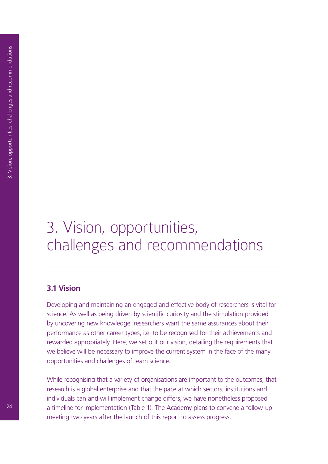# 3. Vision, opportunities, challenges and recommendations

# **3.1 Vision**

Developing and maintaining an engaged and effective body of researchers is vital for science. As well as being driven by scientific curiosity and the stimulation provided by uncovering new knowledge, researchers want the same assurances about their performance as other career types, i.e. to be recognised for their achievements and rewarded appropriately. Here, we set out our vision, detailing the requirements that we believe will be necessary to improve the current system in the face of the many opportunities and challenges of team science.

While recognising that a variety of organisations are important to the outcomes, that research is a global enterprise and that the pace at which sectors, institutions and individuals can and will implement change differs, we have nonetheless proposed a timeline for implementation (Table 1). The Academy plans to convene a follow-up meeting two years after the launch of this report to assess progress.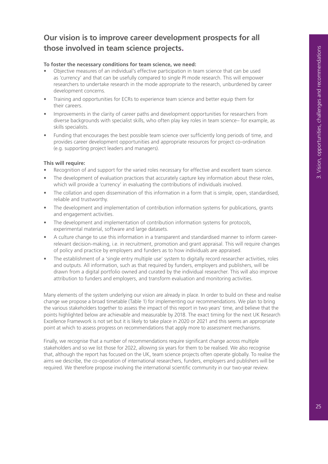# **Our vision is to improve career development prospects for all those involved in team science projects.**

#### **To foster the necessary conditions for team science, we need:**

- Objective measures of an individual's effective participation in team science that can be used as 'currency' and that can be usefully compared to single PI mode research. This will empower researchers to undertake research in the mode appropriate to the research, unburdened by career development concerns.
- Training and opportunities for ECRs to experience team science and better equip them for their careers.
- Improvements in the clarity of career paths and development opportunities for researchers from diverse backgrounds with specialist skills, who often play key roles in team science– for example, as skills specialists.
- Funding that encourages the best possible team science over sufficiently long periods of time, and provides career development opportunities and appropriate resources for project co-ordination (e.g. supporting project leaders and managers).

#### **This will require:**

- Recognition of and support for the varied roles necessary for effective and excellent team science.
- The development of evaluation practices that accurately capture key information about these roles, which will provide a 'currency' in evaluating the contributions of individuals involved.
- The collation and open dissemination of this information in a form that is simple, open, standardised, reliable and trustworthy.
- The development and implementation of contribution information systems for publications, grants and engagement activities.
- The development and implementation of contribution information systems for protocols, experimental material, software and large datasets.
- A culture change to use this information in a transparent and standardised manner to inform careerrelevant decision-making, i.e. in recruitment, promotion and grant appraisal. This will require changes of policy and practice by employers and funders as to how individuals are appraised.
- The establishment of a 'single entry multiple use' system to digitally record researcher activities, roles and outputs. All information, such as that required by funders, employers and publishers, will be drawn from a digital portfolio owned and curated by the individual researcher. This will also improve attribution to funders and employers, and transform evaluation and monitoring activities.

Many elements of the system underlying our vision are already in place. In order to build on these and realise change we propose a broad timetable (Table 1) for implementing our recommendations. We plan to bring the various stakeholders together to assess the impact of this report in two years' time, and believe that the points highlighted below are achievable and measurable by 2018. The exact timing for the next UK Research Excellence Framework is not set but it is likely to take place in 2020 or 2021 and this seems an appropriate point at which to assess progress on recommendations that apply more to assessment mechanisms.

Finally, we recognise that a number of recommendations require significant change across multiple stakeholders and so we list those for 2022, allowing six years for them to be realised. We also recognise that, although the report has focused on the UK, team science projects often operate globally. To realise the aims we describe, the co-operation of international researchers, funders, employers and publishers will be required. We therefore propose involving the international scientific community in our two-year review.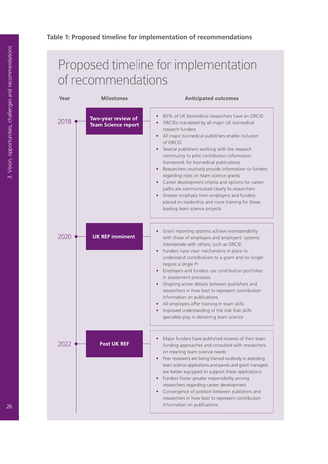#### **Table 1: Proposed timeline for implementation of recommendations**

# Proposed timeline for implementation of recommendations

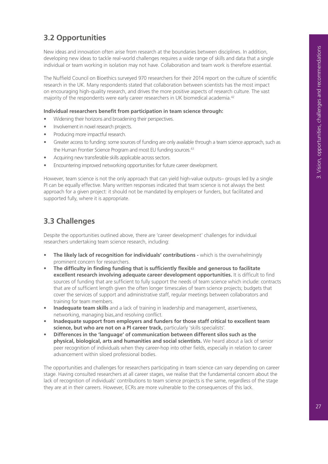# **3.2 Opportunities**

New ideas and innovation often arise from research at the boundaries between disciplines. In addition, developing new ideas to tackle real-world challenges requires a wide range of skills and data that a single individual or team working in isolation may not have. Collaboration and team work is therefore essential.

The Nuffield Council on Bioethics surveyed 970 researchers for their 2014 report on the culture of scientific research in the UK. Many respondents stated that collaboration between scientists has the most impact on encouraging high-quality research, and drives the more positive aspects of research culture. The vast majority of the respondents were early career researchers in UK biomedical academia.<sup>42</sup>

#### **Individual researchers benefit from participation in team science through:**

- Widening their horizons and broadening their perspectives.
- Involvement in novel research projects.
- Producing more impactful research.
- Greater access to funding: some sources of funding are only available through a team science approach, such as the Human Frontier Science Program and most EU funding sources.<sup>43</sup>
- Acquiring new transferable skills applicable across sectors.
- Encountering improved networking opportunities for future career development.

However, team science is not the only approach that can yield high-value outputs– groups led by a single PI can be equally effective. Many written responses indicated that team science is not always the best approach for a given project: it should not be mandated by employers or funders, but facilitated and supported fully, where it is appropriate.

# **3.3 Challenges**

Despite the opportunities outlined above, there are 'career development' challenges for individual researchers undertaking team science research, including:

- **• The likely lack of recognition for individuals' contributions** which is the overwhelmingly prominent concern for researchers.
- **• The difficulty in finding funding that is sufficiently flexible and generous to facilitate excellent research involving adequate career development opportunities.** It is difficult to find sources of funding that are sufficient to fully support the needs of team science which include: contracts that are of sufficient length given the often longer timescales of team science projects; budgets that cover the services of support and administrative staff, regular meetings between collaborators and training for team members.
- **• Inadequate team skills** and a lack of training in leadership and management, assertiveness, networking, managing bias,and resolving conflict.
- **• Inadequate support from employers and funders for those staff critical to excellent team science, but who are not on a PI career track,** particularly 'skills specialists'.
- **• Differences in the 'language' of communication between different silos such as the physical, biological, arts and humanities and social scientists.** We heard about a lack of senior peer recognition of individuals when they career-hop into other fields, especially in relation to career advancement within siloed professional bodies.

The opportunities and challenges for researchers participating in team science can vary depending on career stage. Having consulted researchers at all career stages, we realise that the fundamental concern about the lack of recognition of individuals' contributions to team science projects is the same, regardless of the stage they are at in their careers. However, ECRs are more vulnerable to the consequences of this lack.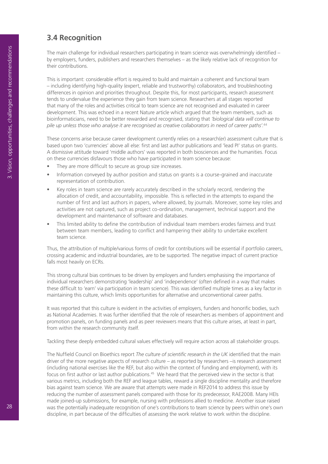# **3.4 Recognition**

The main challenge for individual researchers participating in team science was overwhelmingly identified – by employers, funders, publishers and researchers themselves – as the likely relative lack of recognition for their contributions.

This is important: considerable effort is required to build and maintain a coherent and functional team – including identifying high-quality (expert, reliable and trustworthy) collaborators, and troubleshooting differences in opinion and priorities throughout. Despite this, for most participants, research assessment tends to undervalue the experience they gain from team science. Researchers at all stages reported that many of the roles and activities critical to team science are not recognised and evaluated in career development. This was echoed in a recent Nature article which argued that the team members, such as bioinformaticians, need to be better rewarded and recognised, stating that *'biological data will continue to pile up unless those who analyse it are recognised as creative collaborators in need of career paths'.*<sup>44</sup>

These concerns arise because career development currently relies on a research(er) assessment culture that is based upon two 'currencies' above all else: first and last author publications and 'lead PI' status on grants. A dismissive attitude toward 'middle authors' was reported in both biosciences and the humanities. Focus on these currencies disfavours those who have participated in team science because:

- They are more difficult to secure as group size increases.
- Information conveyed by author position and status on grants is a course-grained and inaccurate representation of contribution.
- Key roles in team science are rarely accurately described in the scholarly record, rendering the allocation of credit, and accountability, impossible. This is reflected in the attempts to expand the number of first and last authors in papers, where allowed, by journals. Moreover, some key roles and activities are not captured, such as project co-ordination, management, technical support and the development and maintenance of software and databases.
- This limited ability to define the contribution of individual team members erodes fairness and trust between team members, leading to conflict and hampering their ability to undertake excellent team science.

Thus, the attribution of multiple/various forms of credit for contributions will be essential if portfolio careers, crossing academic and industrial boundaries, are to be supported. The negative impact of current practice falls most heavily on ECRs.

This strong cultural bias continues to be driven by employers and funders emphasising the importance of individual researchers demonstrating 'leadership' and 'independence' (often defined in a way that makes these difficult to 'earn' via participation in team science). This was identified multiple times as a key factor in maintaining this culture, which limits opportunities for alternative and unconventional career paths.

It was reported that this culture is evident in the activities of employers, funders and honorific bodies, such as National Academies. It was further identified that the role of researchers as members of appointment and promotion panels, on funding panels and as peer reviewers means that this culture arises, at least in part, from within the research community itself.

Tackling these deeply embedded cultural values effectively will require action across all stakeholder groups.

The Nuffield Council on Bioethics report *The culture of scientific research in the UK* identified that the main driver of the more negative aspects of research culture – as reported by researchers –is research assessment (including national exercises like the REF, but also within the context of funding and employment), with its focus on first author or last author publications.<sup>45</sup> We heard that the perceived view in the sector is that various metrics, including both the REF and league tables, reward a single discipline mentality and therefore bias against team science. We are aware that attempts were made in REF2014 to address this issue by reducing the number of assessment panels compared with those for its predecessor, RAE2008. Many HEIs made joined-up submissions, for example, nursing with professions allied to medicine. Another issue raised was the potentially inadequate recognition of one's contributions to team science by peers within one's own discipline, in part because of the difficulties of assessing the work relative to work within the discipline.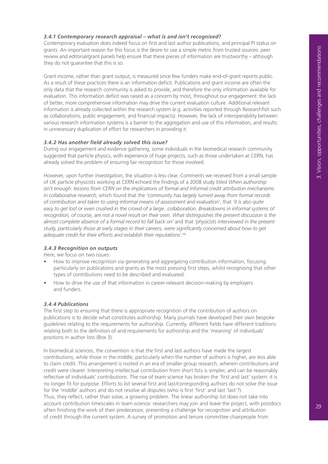#### *3.4.1 Contemporary research appraisal – what is and isn't recognised?*

Contemporary evaluation does indeed focus on first and last author publications, and principal PI status on grants. An important reason for this focus is the desire to use a simple metric from trusted sources: peer review and editorial/grant panels help ensure that these pieces of information are trustworthy – although they do not guarantee that this is so.

Grant income, rather than grant output, is measured since few funders make end-of-grant reports public. As a result of these practices there is an information deficit. Publications and grant income are often the only data that the research community is asked to provide, and therefore the only information available for evaluation. This information deficit was raised as a concern by most, throughout our engagement: the lack of better, more comprehensive information may drive the current evaluation culture. Additional relevant information is already collected within the research system (e.g. activities reported through Researchfish such as collaborations, public engagement, and financial impacts). However, the lack of interoperability between various research information systems is a barrier to the aggregation and use of this information, and results in unnecessary duplication of effort for researchers in providing it.

#### *3.4.2 Has another field already solved this issue?*

During our engagement and evidence gathering, some individuals in the biomedical research community suggested that particle physics, with experience of huge projects, such as those undertaken at CERN, has already solved the problem of ensuring fair recognition for those involved.

However, upon further investigation, the situation is less clear. Comments we received from a small sample of UK particle physicists working at CERN echoed the findings of a 2008 study titled *When authorship isn't enough: lessons from CERN on the implications of formal and informal credit attribution mechanisms in collaborative research*, which found that the *'community has largely turned away from formal records of contribution and taken to using informal means of assessment and evaluation'*, that *'it is also quite*  easy to get lost or even crushed in the crowd of a large...collaboration. Breakdowns in informal systems of recognition, of course, are not a novel result on their own. What distinguishes the present discussion is the *almost complete absence of a formal record to fall back on'* and that *'physicists interviewed in the present study, particularly those at early stages in their careers, were significantly concerned about how to get adequate credit for their efforts and establish their reputations'.*<sup>46</sup>

#### *3.4.3 Recognition on outputs*

Here, we focus on two issues:

- How to improve recognition via generating and aggregating contribution information, focusing particularly on publications and grants as the most pressing first steps, whilst recognising that other types of contributions need to be described and evaluated.
- How to drive the use of that information in career-relevant decision-making by employers and funders.

#### *3.4.4 Publications*

The first step to ensuring that there is appropriate recognition of the contribution of authors on publications is to decide what constitutes authorship. Many journals have developed their own bespoke guidelines relating to the requirements for authorship. Currently, different fields have different traditions relating both to the definition of and requirements for authorship and the 'meaning' of individuals' positions in author lists (Box 3).

In biomedical sciences, the convention is that the first and last authors have made the largest contributions, while those in the middle, particularly when the number of authors is higher, are less able to claim credit. This arrangement is rooted in an era of smaller group research, wherein contributions and credit were clearer. Interpreting intellectual contribution from short lists is simpler, and can be reasonably reflective of individuals' contributions. The rise of team science has broken the 'first and last' system: it is no longer fit for purpose. Efforts to list several first and last/corresponding authors do not solve the issue for the 'middle' authors and do not resolve all disputes (who is first 'first' and last 'last'?). Thus, they reflect, rather than solve, a growing problem. The linear authorship list does not take into account contribution timescales in team science: researchers may join and leave the project, with postdocs often finishing the work of their predecessor, presenting a challenge for recognition and attribution of credit through the current system. A survey of promotion and tenure committee chairpeople from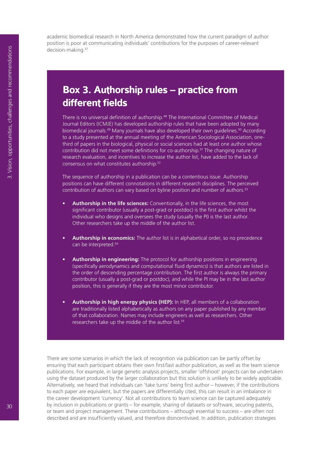academic biomedical research in North America demonstrated how the current paradigm of author position is poor at communicating individuals' contributions for the purposes of career-relevant decision-making.47

# **Box 3. Authorship rules – practice from different fields**

There is no universal definition of authorship.<sup>48</sup> The International Committee of Medical Journal Editors (ICMJE) has developed authorship rules that have been adopted by many biomedical journals.<sup>49</sup> Many journals have also developed their own quidelines.<sup>50</sup> According to a study presented at the annual meeting of the American Sociological Association, onethird of papers in the biological, physical or social sciences had at least one author whose contribution did not meet some definitions for co-authorship.<sup>51</sup> The changing nature of research evaluation, and incentives to increase the author list, have added to the lack of consensus on what constitutes authorship.52

The sequence of authorship in a publication can be a contentious issue. Authorship positions can have different connotations in different research disciplines. The perceived contribution of authors can vary based on byline position and number of authors.<sup>53</sup>

- **• Authorship in the life sciences:** Conventionally, in the life sciences, the most significant contributor (usually a post-grad or postdoc) is the first author whilst the individual who designs and oversees the study (usually the PI) is the last author. Other researchers take up the middle of the author list.
- **• Authorship in economics:** The author list is in alphabetical order, so no precedence can be interpreted.<sup>54</sup>
- **• Authorship in engineering:** The protocol for authorship positions in engineering (specifically aerodynamics and computational fluid dynamics) is that authors are listed in the order of descending percentage contribution. The first author is always the primary contributor (usually a post-grad or postdoc), and while the PI may be in the last author position, this is generally if they are the most minor contributor.
- **• Authorship in high energy physics (HEP):** In HEP, all members of a collaboration are traditionally listed alphabetically as authors on any paper published by any member of that collaboration. Names may include engineers as well as researchers. Other researchers take up the middle of the author list.<sup>55</sup>

There are some scenarios in which the lack of recognition via publication can be partly offset by ensuring that each participant obtains their own first/last author publication, as well as the team science publications. For example, in large genetic analysis projects, smaller 'offshoot' projects can be undertaken using the dataset produced by the larger collaboration but this solution is unlikely to be widely applicable. Alternatively, we heard that individuals can 'take turns' being first author – however, if the contributions to each paper are equivalent, but the papers are differentially cited, this can result in an imbalance in the career development 'currency'. Not all contributions to team science can be captured adequately by inclusion in publications or grants – for example, sharing of datasets or software, securing patents, or team and project management. These contributions – although essential to success – are often not described and are insufficiently valued, and therefore disincentivised. In addition, publication strategies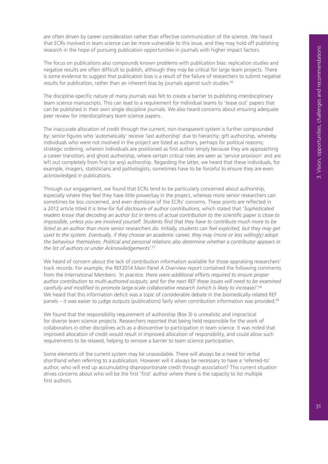are often driven by career consideration rather than effective communication of the science. We heard that ECRs involved in team science can be more vulnerable to this issue, and they may hold off publishing research in the hope of pursuing publication opportunities in journals with higher impact factors.

The focus on publications also compounds known problems with publication bias: replication studies and negative results are often difficult to publish, although they may be critical for large team projects. There is some evidence to suggest that publication bias is a result of the failure of researchers to submit negative results for publication, rather than an inherent bias by journals against such studies.<sup>56</sup>

The discipline-specific nature of many journals was felt to create a barrier to publishing interdisciplinary team science manuscripts. This can lead to a requirement for individual teams to 'tease out' papers that can be published in their own single discipline journals. We also heard concerns about ensuring adequate peer review for interdisciplinary team science papers.

The inaccurate allocation of credit through the current, non-transparent system is further compounded by: senior figures who 'automatically' receive 'last authorship' due to hierarchy; gift authorship, whereby individuals who were not involved in the project are listed as authors, perhaps for political reasons; strategic ordering, wherein individuals are positioned as first author simply because they are approaching a career transition; and ghost authorship, where certain critical roles are seen as 'service provision' and are left out completely from first (or any) authorship. Regarding the latter, we heard that these individuals, for example, imagers, statisticians and pathologists, sometimes have to be forceful to ensure they are even acknowledged in publications.

Through our engagement, we found that ECRs tend to be particularly concerned about authorship, especially where they feel they have little power/say in the project, whereas more senior researchers can sometimes be less concerned, and even dismissive of the ECRs' concerns. These points are reflected in a 2012 article titled *It is time for full disclosure of author contributions*, which stated that *'Sophisticated readers know that decoding an author list in terms of actual contribution to the scientific paper is close to impossible, unless you are involved yourself. Students find that they have to contribute much more to be*  listed as an author than more senior researchers do. Initially, students can feel exploited, but they may get *used to the system. Eventually, if they choose an academic career, they may (more or less willingly) adopt the behaviour themselves. Political and personal relations also determine whether a contributor appears in the list of authors or under Acknowledgements'.*<sup>57</sup>

We heard of concern about the lack of contribution information available for those appraising researchers' track records. For example, the REF2014 Main Panel A Overview report contained the following comments from the International Members: *'In practice, there were additional efforts required to ensure proper*  author contribution to multi-authored outputs; and for the next REF these issues will need to be examined *carefully and modified to promote large-scale collaborative research (which is likely to increase)'.*<sup>58</sup> We heard that this information deficit was a topic of considerable debate in the biomedically-related REF panels – it was easier to judge outputs (publications) fairly when contribution information was provided.<sup>59</sup>

We found that the responsibility requirement of authorship (Box 3) is unrealistic and impractical for diverse team science projects. Researchers reported that being held responsible for the work of collaborators in other disciplines acts as a disincentive to participation in team science. It was noted that improved allocation of credit would result in improved allocation of responsibility, and could allow such requirements to be relaxed, helping to remove a barrier to team science participation.

Some elements of the current system may be unavoidable. There will always be a need for verbal shorthand when referring to a publication. However will it always be necessary to have a 'referred-to' author, who will end up accumulating disproportionate credit through association? This current situation drives concerns about who will be the first 'first' author where there is the capacity to list multiple first authors.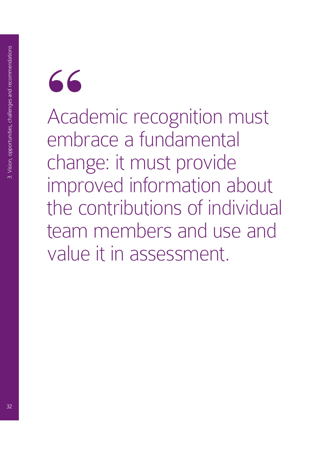

Academic recognition must embrace a fundamental change: it must provide improved information about the contributions of individual team members and use and value it in assessment.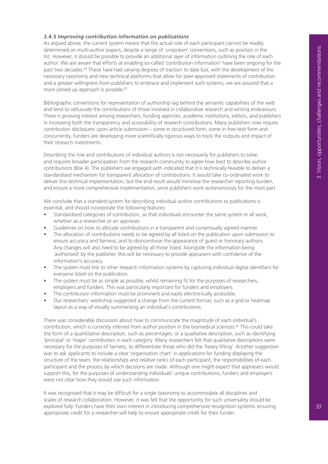#### *3.4.5 Improving contribution information on publications*

As argued above, the current system means that the actual role of each participant cannot be readily determined on multi-author papers, despite a range of 'unspoken' conventions, such as position in the list. However, it should be possible to provide an additional layer of information outlining the role of each author. We are aware that efforts at enabling so-called 'contribution information' have been ongoing for the past two decades.<sup>60</sup> These have had varying degrees of traction to date but, with the development of the necessary taxonomy and new technical platforms that allow for peer-approved statements of contribution and a greater willingness from publishers to embrace and implement such systems, we are assured that a more joined-up approach is possible.<sup>61</sup>

Bibliographic conventions for representation of authorship lag behind the semantic capabilities of the web and tend to obfuscate the contributions of those involved in collaborative research and writing endeavours. There is growing interest among researchers, funding agencies, academic institutions, editors, and publishers in increasing both the transparency and accessibility of research contributions. Many publishers now require contribution disclosures upon article submission – some in structured form, some in free-text form and concurrently, funders are developing more scientifically rigorous ways to track the outputs and impact of their research investments.

Describing the role and contributions of individual authors is not necessarily for publishers to solve, and requires broader participation from the research community to agree how best to describe author contributions (Box 4). The publishers we engaged with indicated that it is technically feasible to deliver a standardised mechanism for transparent allocation of contributions. It would take co-ordinated work to deliver this technical implementation, but the end result would minimise the researcher reporting burden, and ensure a more comprehensive implementation, since publishers work autonomously for the most part.

We conclude that a standard system for describing individual author contributions to publications is essential, and should incorporate the following features:

- Standardised categories of contribution, so that individuals encounter the same system in all work, whether as a researcher or an appraiser.
- Guidelines on how to allocate contributions in a transparent and consensually agreed manner.
- The allocation of contributions needs to be agreed by all listed on the publication upon submission to ensure accuracy and fairness, and to disincentivise the appearance of guest or honorary authors. Any changes will also need to be agreed by all those listed. Alongside the information being 'authorised' by the publisher, this will be necessary to provide appraisers with confidence of the information's accuracy.
- The system must link to other research information systems by capturing individual digital identifiers for everyone listed on the publication.
- The system must be as simple as possible, whilst remaining fit for the purposes of researchers, employers and funders. This was particularly important for funders and employers.
- The contribution information must be prominent and easily electronically accessible.
- Our researchers' workshop suggested a change from the current format, such as a grid or heatmap layout as a way of visually summarising an individual's contributions.

There was considerable discussion about how to communicate the magnitude of each individual's contribution, which is currently inferred from author position in the biomedical sciences.<sup>62</sup> This could take the form of a quantitative description, such as percentages, or a qualitative description, such as identifying 'principal' or 'major' contributors in each category. Many researchers felt that qualitative descriptions were necessary for the purposes of fairness, to differentiate those who did the 'heavy lifting'. Another suggestion was to ask applicants to include a clear 'organisation chart' in applications for funding displaying the structure of the team, the relationships and relative ranks of each participant, the responsibilities of each participant and the process by which decisions are made. Although one might expect that appraisers would support this, for the purposes of understanding individuals' unique contributions, funders and employers were not clear how they would use such information.

It was recognised that it may be difficult for a single taxonomy to accommodate all disciplines and scales of research collaboration. However, it was felt that the opportunity for such universality should be explored fully. Funders have their own interest in introducing comprehensive recognition systems: ensuring appropriate credit for a researcher will help to ensure appropriate credit for their funder.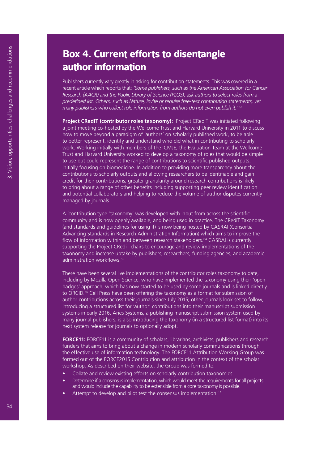# **Box 4. Current efforts to disentangle author information**

Publishers currently vary greatly in asking for contribution statements. This was covered in a recent article which reports that: *'Some publishers, such as the American Association for Cancer Research (AACR) and the Public Library of Science (PLOS), ask authors to select roles from a predefined list. Others, such as Nature, invite or require free-text contribution statements, yet many publishers who collect role information from authors do not even publish it.'* <sup>63</sup>

**Project CRedIT (contributor roles taxonomy):** Project CRediT was initiated following a joint meeting co-hosted by the Wellcome Trust and Harvard University in 2011 to discuss how to move beyond a paradigm of 'authors' on scholarly published work, to be able to better represent, identify and understand who did what in contributing to scholarly work. Working initially with members of the ICMJE, the Evaluation Team at the Wellcome Trust and Harvard University worked to develop a taxonomy of roles that would be simple to use but could represent the range of contributions to scientific published outputs, initially focusing on biomedicine. In addition to providing more transparency about the contributions to scholarly outputs and allowing researchers to be identifiable and gain credit for their contributions, greater granularity around research contributions is likely to bring about a range of other benefits including supporting peer review identification and potential collaborators and helping to reduce the volume of author disputes currently managed by journals.

A 'contribution type 'taxonomy' was developed with input from across the scientific community and is now openly available, and being used in practice. The CRediT Taxonomy (and standards and guidelines for using it) is now being hosted by CASRAI (Consortia Advancing Standards in Research Administration Information) which aims to improve the flow of information within and between research stakeholders.<sup>64</sup> CASRAI is currently supporting the Project CRediT chairs to encourage and review implementations of the taxonomy and increase uptake by publishers, researchers, funding agencies, and academic administration workflows.65

There have been several live implementations of the contributor roles taxonomy to date, including by Mozilla Open Science, who have implemented the taxonomy using their 'open badges' approach, which has now started to be used by some journals and is linked directly to ORCID.<sup>66</sup> Cell Press have been offering the taxonomy as a format for submission of author contributions across their journals since July 2015; other journals look set to follow, introducing a structured list for 'author' contributions into their manuscript submission systems in early 2016. Aries Systems, a publishing manuscript submission system used by many journal publishers, is also introducing the taxonomy (in a structured list format) into its next system release for journals to optionally adopt.

**FORCE11:** FORCE11 is a community of scholars, librarians, archivists, publishers and research funders that aims to bring about a change in modern scholarly communications through the effective use of information technology. The FORCE11 Attribution Working Group was formed out of the FORCE2015 Contribution and attribution in the context of the scholar workshop. As described on their website, the Group was formed to:

- Collate and review existing efforts on scholarly contribution taxonomies.
- Determine if a consensus implementation, which would meet the requirements for all projects and would include the capability to be extensible from a core taxonomy is possible.
- Attempt to develop and pilot test the consensus implementation.<sup>67</sup>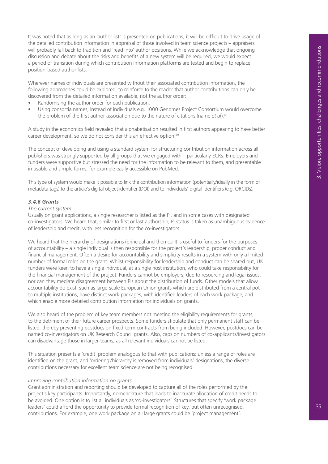It was noted that as long as an 'author list' is presented on publications, it will be difficult to drive usage of the detailed contribution information in appraisal of those involved in team science projects – appraisers will probably fall back to tradition and 'read into' author positions. While we acknowledge that ongoing discussion and debate about the risks and benefits of a new system will be required, we would expect a period of transition during which contribution information platforms are tested and begin to replace position-based author lists.

Wherever names of individuals are presented without their associated contribution information, the following approaches could be explored, to reinforce to the reader that author contributions can only be discovered from the detailed information available, not the author order:

- Randomising the author order for each publication.
- Using consortia names, instead of individuals e.g. 1000 Genomes Project Consortium would overcome the problem of the first author association due to the nature of citations (name *et al*).<sup>68</sup>

A study in the economics field revealed that alphabetisation resulted in first authors appearing to have better career development, so we do not consider this an effective option.<sup>69</sup>

The concept of developing and using a standard system for structuring contribution information across all publishers was strongly supported by all groups that we engaged with – particularly ECRs. Employers and funders were supportive but stressed the need for the information to be relevant to them, and presentable in usable and simple forms, for example easily accessible on PubMed.

This type of system would make it possible to link the contribution information (potentially/ideally in the form of metadata tags) to the article's digital object identifier (DOI) and to individuals' digital identifiers (e.g. ORCIDs).

#### *3.4.6 Grants*

#### *The current system*

Usually on grant applications, a single researcher is listed as the PI, and in some cases with designated co-investigators. We heard that, similar to first or last authorship, PI status is taken as unambiguous evidence of leadership and credit, with less recognition for the co-investigators.

We heard that the hierarchy of designations (principal and then co-I) is useful to funders for the purposes of accountability – a single individual is then responsible for the project's leadership, proper conduct and financial management. Often a desire for accountability and simplicity results in a system with only a limited number of formal roles on the grant. Whilst responsibility for leadership and conduct can be shared out, UK funders were keen to have a single individual, at a single host institution, who could take responsibility for the financial management of the project. Funders cannot be employers, due to resourcing and legal issues, nor can they mediate disagreement between PIs about the distribution of funds. Other models that allow accountability do exist, such as large-scale European Union grants which are distributed from a central pot to multiple institutions, have distinct work packages, with identified leaders of each work package, and which enable more detailed contribution information for individuals on grants.

We also heard of the problem of key team members not meeting the eligibility requirements for grants, to the detriment of their future career prospects. Some funders stipulate that only permanent staff can be listed, thereby preventing postdocs on fixed-term contracts from being included. However, postdocs can be named co-investigators on UK Research Council grants. Also, caps on numbers of co-applicants/investigators can disadvantage those in larger teams, as all relevant individuals cannot be listed.

This situation presents a 'credit' problem analogous to that with publications: unless a range of roles are identified on the grant, and 'ordering'/hierarchy is removed from individuals' designations, the diverse contributions necessary for excellent team science are not being recognised.

#### *Improving contribution information on grants*

Grant administration and reporting should be developed to capture all of the roles performed by the project's key participants. Importantly, nomenclature that leads to inaccurate allocation of credit needs to be avoided. One option is to list all individuals as 'co-investigators'. Structures that specify 'work package leaders' could afford the opportunity to provide formal recognition of key, but often unrecognised, contributions. For example, one work package on all large grants could be 'project management'.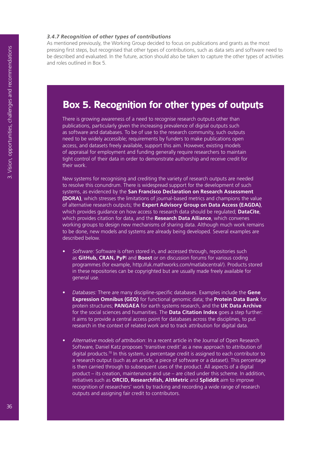#### *3.4.7 Recognition of other types of contributions*

As mentioned previously, the Working Group decided to focus on publications and grants as the most pressing first steps, but recognised that other types of contributions, such as data sets and software need to be described and evaluated. In the future, action should also be taken to capture the other types of activities and roles outlined in Box 5.

# **Box 5. Recognition for other types of outputs**

There is growing awareness of a need to recognise research outputs other than publications, particularly given the increasing prevalence of digital outputs such as software and databases. To be of use to the research community, such outputs need to be widely accessible; requirements by funders to make publications open access, and datasets freely available, support this aim. However, existing models of appraisal for employment and funding generally require researchers to maintain tight control of their data in order to demonstrate authorship and receive credit for their work.

New systems for recognising and crediting the variety of research outputs are needed to resolve this conundrum. There is widespread support for the development of such systems, as evidenced by the **San Francisco Declaration on Research Assessment (DORA)**, which stresses the limitations of journal-based metrics and champions the value of alternative research outputs; the **Expert Advisory Group on Data Access (EAGDA)**, which provides guidance on how access to research data should be regulated; **DataCite**, which provides citation for data, and the **Research Data Alliance**, which convenes working groups to design new mechanisms of sharing data. Although much work remains to be done, new models and systems are already being developed. Several examples are described below.

- *• Software:* Software is often stored in, and accessed through, repositories such as **GitHub, CRAN, PyP**I and **Boost** or on discussion forums for various coding programmes (for example, http://uk.mathworks.com/matlabcentral/). Products stored in these repositories can be copyrighted but are usually made freely available for general use.
- *• Databases:* There are many discipline-specific databases. Examples include the **Gene Expression Omnibus (GEO)** for functional genomic data; the **Protein Data Bank** for protein structures; **PANGAEA** for earth systems research, and the **UK Data Archive** for the social sciences and humanities. The **Data Citation Index** goes a step further: it aims to provide a central access point for databases across the disciplines, to put research in the context of related work and to track attribution for digital data.
- *• Alternative models of attribution*: In a recent article in the Journal of Open Research Software, Daniel Katz proposes 'transitive credit' as a new approach to attribution of digital products.70 In this system, a percentage credit is assigned to each contributor to a research output (such as an article, a piece of software or a dataset). This percentage is then carried through to subsequent uses of the product. All aspects of a digital product – its creation, maintenance and use – are cited under this scheme. In addition, initiatives such as **ORCID, Researchfish, AltMetric** and **Spliddit** aim to improve recognition of researchers' work by tracking and recording a wide range of research outputs and assigning fair credit to contributors.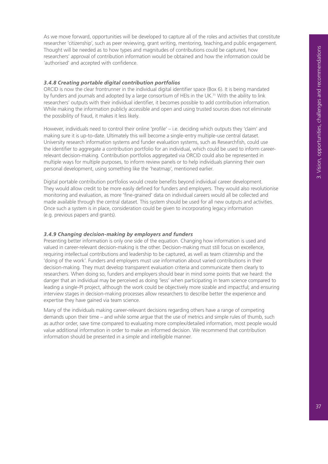As we move forward, opportunities will be developed to capture all of the roles and activities that constitute researcher 'citizenship', such as peer reviewing, grant writing, mentoring, teaching,and public engagement. Thought will be needed as to how types and magnitudes of contributions could be captured, how researchers' approval of contribution information would be obtained and how the information could be 'authorised' and accepted with confidence.

#### *3.4.8 Creating portable digital contribution portfolios*

ORCID is now the clear frontrunner in the individual digital identifier space (Box 6). It is being mandated by funders and journals and adopted by a large consortium of HEIs in the UK.<sup>71</sup> With the ability to link researchers' outputs with their individual identifier, it becomes possible to add contribution information. While making the information publicly accessible and open and using trusted sources does not eliminate the possibility of fraud, it makes it less likely.

However, individuals need to control their online 'profile' – i.e. deciding which outputs they 'claim' and making sure it is up-to-date. Ultimately this will become a single-entry multiple-use central dataset. University research information systems and funder evaluation systems, such as Researchfish, could use the identifier to aggregate a contribution portfolio for an individual, which could be used to inform careerrelevant decision-making. Contribution portfolios aggregated via ORCID could also be represented in multiple ways for multiple purposes, to inform review panels or to help individuals planning their own personal development, using something like the 'heatmap', mentioned earlier.

Digital portable contribution portfolios would create benefits beyond individual career development. They would allow credit to be more easily defined for funders and employers. They would also revolutionise monitoring and evaluation, as more 'fine-grained' data on individual careers would all be collected and made available through the central dataset. This system should be used for all new outputs and activities. Once such a system is in place, consideration could be given to incorporating legacy information (e.g. previous papers and grants).

#### *3.4.9 Changing decision-making by employers and funders*

Presenting better information is only one side of the equation. Changing how information is used and valued in career-relevant decision-making is the other. Decision-making must still focus on excellence, requiring intellectual contributions and leadership to be captured, as well as team citizenship and the 'doing of the work'. Funders and employers must use information about varied contributions in their decision-making. They must develop transparent evaluation criteria and communicate them clearly to researchers. When doing so, funders and employers should bear in mind some points that we heard: the danger that an individual may be perceived as doing 'less' when participating in team science compared to leading a single-PI project, although the work could be objectively more sizable and impactful; and ensuring interview stages in decision-making processes allow researchers to describe better the experience and expertise they have gained via team science.

Many of the individuals making career-relevant decisions regarding others have a range of competing demands upon their time – and while some argue that the use of metrics and simple rules of thumb, such as author order, save time compared to evaluating more complex/detailed information, most people would value additional information in order to make an informed decision. We recommend that contribution information should be presented in a simple and intelligible manner.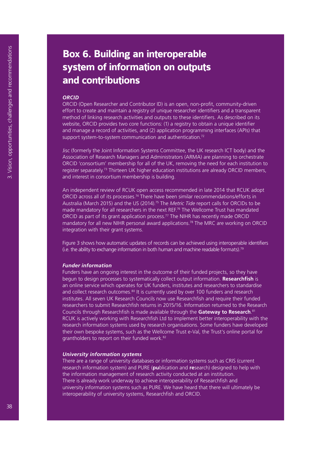# **Box 6. Building an interoperable system of information on outputs and contributions**

#### *ORCID*

ORCID (Open Researcher and Contributor ID) is an open, non-profit, community-driven effort to create and maintain a registry of unique researcher identifiers and a transparent method of linking research activities and outputs to these identifiers. As described on its website, ORCID provides two core functions: (1) a registry to obtain a unique identifier and manage a record of activities, and (2) application programming interfaces (APIs) that support system-to-system communication and authentication.<sup>72</sup>

Jisc (formerly the Joint Information Systems Committee, the UK research ICT body) and the Association of Research Managers and Administrators (ARMA) are planning to orchestrate ORCID 'consortium' membership for all of the UK, removing the need for each institution to register separately.<sup>73</sup> Thirteen UK higher education institutions are already ORCID members, and interest in consortium membership is building.

An independent review of RCUK open access recommended in late 2014 that RCUK adopt ORCID across all of its processes.74 There have been similar recommendations/efforts in Australia (March 2015) and the US (2014).75 The *Metric Tide* report calls for ORCIDs to be made mandatory for all researchers in the next REF.<sup>76</sup> The Wellcome Trust has mandated ORCID as part of its grant application process.<sup>77</sup> The NIHR has recently made ORCID mandatory for all new NIHR personal award applications.78 The MRC are working on ORCID integration with their grant systems.

Figure 3 shows how automatic updates of records can be achieved using interoperable identifiers (i.e. the ability to exchange information in both human and machine readable formats).79

#### *Funder information*

Funders have an ongoing interest in the outcome of their funded projects, so they have begun to design processes to systematically collect output information. **Researchfish** is an online service which operates for UK funders, institutes and researchers to standardise and collect research outcomes.<sup>80</sup> It is currently used by over 100 funders and research institutes. All seven UK Research Councils now use Researchfish and require their funded researchers to submit Researchfish returns in 2015/16. Information returned to the Research Councils through Researchfish is made available through the **Gateway to Research**. 81 RCUK is actively working with Researchfish Ltd to implement better interoperability with the research information systems used by research organisations. Some funders have developed their own bespoke systems, such as the Wellcome Trust e-Val, the Trust's online portal for grantholders to report on their funded work.82

#### *University information systems*

There are a range of university databases or information systems such as CRIS (current research information system) and PURE (**pu**blication and **re**search) designed to help with the information management of research activity conducted at an institution. There is already work underway to achieve interoperability of Researchfish and university information systems such as PURE. We have heard that there will ultimately be interoperability of university systems, Researchfish and ORCID.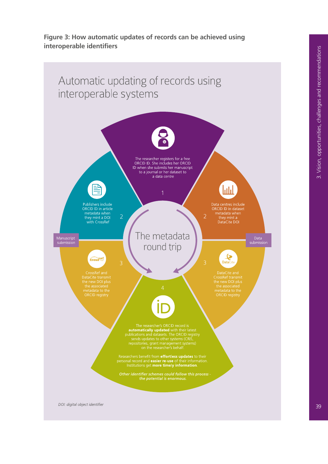#### **Figure 3: How automatic updates of records can be achieved using interoperable identifiers**



39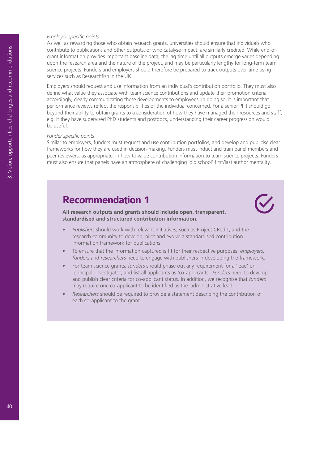#### *Employer specific points*

As well as rewarding those who obtain research grants, universities should ensure that individuals who contribute to publications and other outputs, or who catalyse impact, are similarly credited. While end-ofgrant information provides important baseline data, the lag time until all outputs emerge varies depending upon the research area and the nature of the project, and may be particularly lengthy for long-term team science projects. Funders and employers should therefore be prepared to track outputs over time using services such as Researchfish in the UK.

Employers should request and use information from an individual's contribution portfolio. They must also define what value they associate with team science contributions and update their promotion criteria accordingly, clearly communicating these developments to employees. In doing so, it is important that performance reviews reflect the responsibilities of the individual concerned. For a senior PI it should go beyond their ability to obtain grants to a consideration of how they have managed their resources and staff, e.g. if they have supervised PhD students and postdocs, understanding their career progression would be useful.

#### *Funder specific points*

Similar to employers, funders must request and use contribution portfolios, and develop and publicise clear frameworks for how they are used in decision-making. Funders must induct and train panel members and peer reviewers, as appropriate, in how to value contribution information to team science projects. Funders must also ensure that panels have an atmosphere of challenging 'old school' first/last author mentality.

# **Recommendation 1**

**All research outputs and grants should include open, transparent, standardised and structured contribution information.**

- *• Publishers* should work with relevant initiatives, such as Project CRediT, and the research community to develop, pilot and evolve a standardised contribution information framework for publications.
- To ensure that the information captured is fit for their respective purposes, *employers*, *funders* and *researchers* need to engage with publishers in developing the framework.
- For team science grants, *funders* should phase out any requirement for a 'lead' or 'principal' investigator, and list all applicants as 'co-applicants'. *Funders* need to develop and publish clear criteria for co-applicant status. In addition, we recognise that *funders*  may require one co-applicant to be identified as the 'administrative lead'.
- *• Researchers* should be required to provide a statement describing the contribution of each co-applicant to the grant.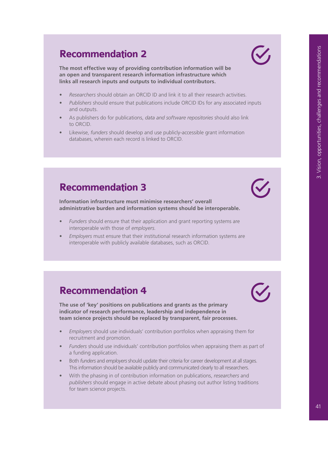# **Recommendation 2**

**The most effective way of providing contribution information will be an open and transparent research information infrastructure which links all research inputs and outputs to individual contributors.** 

- *• Researchers* should obtain an ORCID ID and link it to all their research activities.
- *• Publishers* should ensure that publications include ORCID IDs for any associated inputs and outputs.
- As publishers do for publications, *data and software repositories* should also link to ORCID.
- Likewise, *funders* should develop and use publicly-accessible grant information databases, wherein each record is linked to ORCID.

# **Recommendation 3**

**Information infrastructure must minimise researchers' overall administrative burden and information systems should be interoperable.** 

- *• Funders* should ensure that their application and grant reporting systems are interoperable with those of *employers.*
- *• Employers* must ensure that their institutional research information systems are interoperable with publicly available databases, such as ORCID.

# **Recommendation 4**

**The use of 'key' positions on publications and grants as the primary indicator of research performance, leadership and independence in team science projects should be replaced by transparent, fair processes.**

- *• Employers* should use individuals' contribution portfolios when appraising them for recruitment and promotion.
- *• Funders* should use individuals' contribution portfolios when appraising them as part of a funding application.
- Both *funders* and *employers* should update their criteria for career development at all stages. This information should be available publicly and communicated clearly to all researchers.
- With the phasing in of contribution information on publications, *researchers* and *publishers* should engage in active debate about phasing out author listing traditions for team science projects.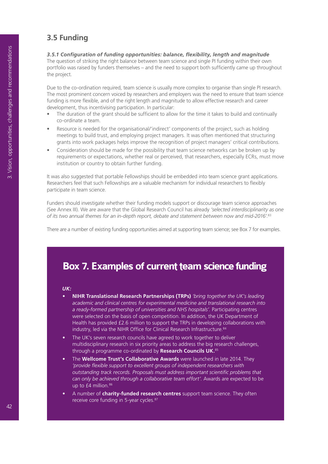# **3.5 Funding**

*3.5.1 Configuration of funding opportunities: balance, flexibility, length and magnitude* The question of striking the right balance between team science and single PI funding within their own portfolio was raised by funders themselves – and the need to support both sufficiently came up throughout the project.

Due to the co-ordination required, team science is usually more complex to organise than single PI research. The most prominent concern voiced by researchers and employers was the need to ensure that team science funding is more flexible, and of the right length and magnitude to allow effective research and career development, thus incentivising participation. In particular:

- The duration of the grant should be sufficient to allow for the time it takes to build and continually co-ordinate a team.
- Resource is needed for the organisational/'indirect' components of the project, such as holding meetings to build trust, and employing project managers. It was often mentioned that structuring grants into work packages helps improve the recognition of project managers' critical contributions.
- Consideration should be made for the possibility that team science networks can be broken up by requirements or expectations, whether real or perceived, that researchers, especially ECRs, must move institution or country to obtain further funding.

It was also suggested that portable Fellowships should be embedded into team science grant applications. Researchers feel that such Fellowships are a valuable mechanism for individual researchers to flexibly participate in team science.

Funders should investigate whether their funding models support or discourage team science approaches (See Annex III). We are aware that the Global Research Council has already *'selected interdisciplinarity as one of its two annual themes for an in-depth report, debate and statement between now and mid-2016'.*<sup>83</sup>

There are a number of existing funding opportunities aimed at supporting team science; see Box 7 for examples.

# **Box 7. Examples of current team science funding**

#### *UK:*

- **• NIHR Translational Research Partnerships (TRPs)** *'bring together the UK's leading academic and clinical centres for experimental medicine and translational research into a ready-formed partnership of universities and NHS hospitals'.* Participating centres were selected on the basis of open competition. In addition, the UK Department of Health has provided £2.6 million to support the TRPs in developing collaborations with industry, led via the NIHR Office for Clinical Research Infrastructure.<sup>84</sup>
- The UK's seven research councils have agreed to work together to deliver multidisciplinary research in six priority areas to address the big research challenges, through a programme co-ordinated by **Research Councils UK.**<sup>85</sup>
- The **Wellcome Trust's Collaborative Awards** were launched in late 2014. They *'provide flexible support to excellent groups of independent researchers with outstanding track records. Proposals must address important scientific problems that can only be achieved through a collaborative team effort'.* Awards are expected to be up to  $f4$  million. $86$
- A number of **charity-funded research centres** support team science. They often receive core funding in 5-year cycles.<sup>87</sup>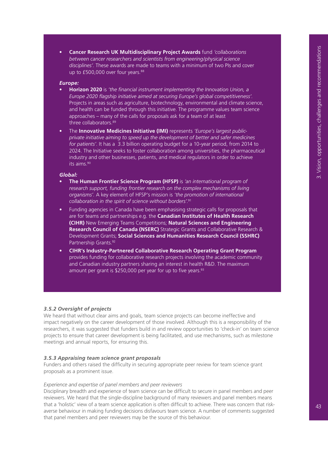**• Cancer Research UK Multidisciplinary Project Awards** fund *'collaborations between cancer researchers and scientists from engineering/physical science disciplines'*. These awards are made to teams with a minimum of two PIs and cover up to  $£500,000$  over four years. $88$ 

#### *Europe:*

- **• Horizon 2020** is *'the financial instrument implementing the Innovation Union, a Europe 2020 flagship initiative aimed at securing Europe's global competitiveness'.*  Projects in areas such as agriculture, biotechnology, environmental and climate science, and health can be funded through this initiative. The programme values team science approaches – many of the calls for proposals ask for a team of at least three collaborators.<sup>89</sup>
- The **Innovative Medicines Initiative (IMI)** represents *'Europe's largest publicprivate initiative aiming to speed up the development of better and safer medicines for patients'*. It has a €3.3 billion operating budget for a 10-year period, from 2014 to 2024. The Initiative seeks to foster collaboration among universities, the pharmaceutical industry and other businesses, patients, and medical regulators in order to achieve its aims.90

#### *Global:*

- **• The Human Frontier Science Program (HFSP)** is *'an international program of*  research support, funding frontier research on the complex mechanisms of living *organisms'.* A key element of HFSP's mission is *'the promotion of international collaboration in the spirit of science without borders'.*<sup>91</sup>
- Funding agencies in Canada have been emphasising strategic calls for proposals that are for teams and partnerships e.g. the **Canadian Institutes of Health Research (CIHR)** New Emerging Teams Competitions; **Natural Sciences and Engineering Research Council of Canada (NSERC)** Strategic Grants and Collaborative Research & Development Grants; **Social Sciences and Humanities Research Council (SSHRC)** Partnership Grants.92
- **• CIHR's Industry-Partnered Collaborative Research Operating Grant Program** provides funding for collaborative research projects involving the academic community and Canadian industry partners sharing an interest in health R&D. The maximum amount per grant is  $$250,000$  per year for up to five years.<sup>93</sup>

#### *3.5.2 Oversight of projects*

We heard that without clear aims and goals, team science projects can become ineffective and impact negatively on the career development of those involved. Although this is a responsibility of the researchers, it was suggested that funders build in and review opportunities to 'check-in' on team science projects to ensure that career development is being facilitated, and use mechanisms, such as milestone meetings and annual reports, for ensuring this.

#### *3.5.3 Appraising team science grant proposals*

Funders and others raised the difficulty in securing appropriate peer review for team science grant proposals as a prominent issue.

#### *Experience and expertise of panel members and peer reviewers*

Disciplinary breadth and experience of team science can be difficult to secure in panel members and peer reviewers. We heard that the single-discipline background of many reviewers and panel members means that a 'holistic' view of a team science application is often difficult to achieve. There was concern that riskaverse behaviour in making funding decisions disfavours team science. A number of comments suggested that panel members and peer reviewers may be the source of this behaviour.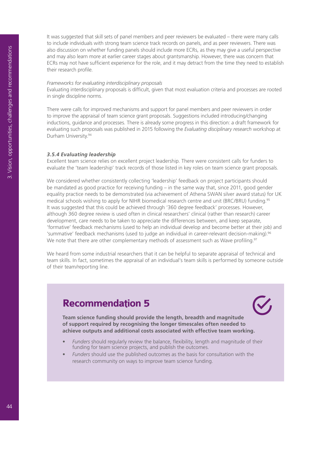It was suggested that skill sets of panel members and peer reviewers be evaluated – there were many calls to include individuals with strong team science track records on panels, and as peer reviewers. There was also discussion on whether funding panels should include more ECRs, as they may give a useful perspective and may also learn more at earlier career stages about grantsmanship. However, there was concern that ECRs may not have sufficient experience for the role, and it may detract from the time they need to establish their research profile.

#### *Frameworks for evaluating interdisciplinary proposals*

Evaluating interdisciplinary proposals is difficult, given that most evaluation criteria and processes are rooted in single discipline norms.

There were calls for improved mechanisms and support for panel members and peer reviewers in order to improve the appraisal of team science grant proposals. Suggestions included introducing/changing inductions, guidance and processes. There is already some progress in this direction: a draft framework for evaluating such proposals was published in 2015 following the *Evaluating disciplinary research* workshop at Durham University.94

#### *3.5.4 Evaluating leadership*

Excellent team science relies on excellent project leadership. There were consistent calls for funders to evaluate the 'team leadership' track records of those listed in key roles on team science grant proposals.

We considered whether consistently collecting 'leadership' feedback on project participants should be mandated as good practice for receiving funding – in the same way that, since 2011, good gender equality practice needs to be demonstrated (via achievement of Athena SWAN silver award status) for UK medical schools wishing to apply for NIHR biomedical research centre and unit (BRC/BRU) funding.<sup>95</sup> It was suggested that this could be achieved through '360 degree feedback' processes. However, although 360 degree review is used often in clinical researchers' clinical (rather than research) career development, care needs to be taken to appreciate the differences between, and keep separate, 'formative' feedback mechanisms (used to help an individual develop and become better at their job) and 'summative' feedback mechanisms (used to judge an individual in career-relevant decision-making).96 We note that there are other complementary methods of assessment such as Wave profiling.<sup>97</sup>

We heard from some industrial researchers that it can be helpful to separate appraisal of technical and team skills. In fact, sometimes the appraisal of an individual's team skills is performed by someone outside of their team/reporting line.

# **Recommendation 5**

**Team science funding should provide the length, breadth and magnitude of support required by recognising the longer timescales often needed to achieve outputs and additional costs associated with effective team working.**

- *• Funders* should regularly review the balance, flexibility, length and magnitude of their funding for team science projects, and publish the outcomes.
- *• Funders* should use the published outcomes as the basis for consultation with the research community on ways to improve team science funding.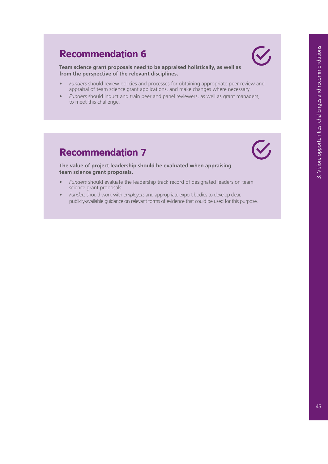# **Recommendation 6**

**Team science grant proposals need to be appraised holistically, as well as from the perspective of the relevant disciplines.**

- *• Funders* should review policies and processes for obtaining appropriate peer review and appraisal of team science grant applications, and make changes where necessary.
- *• Funders* should induct and train peer and panel reviewers, as well as grant managers, to meet this challenge.

# **Recommendation 7**



V

**The value of project leadership should be evaluated when appraising team science grant proposals.**

- *• Funders* should evaluate the leadership track record of designated leaders on team science grant proposals.
- *• Funders* should work with *employers* and appropriate expert bodies to develop clear, publicly-available guidance on relevant forms of evidence that could be used for this purpose.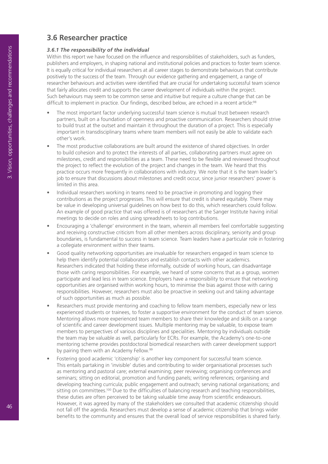# **3.6 Researcher practice**

#### *3.6.1 The responsibility of the individual*

Within this report we have focused on the influence and responsibilities of stakeholders, such as funders, publishers and employers, in shaping national and institutional policies and practices to foster team science. It is equally critical for individual researchers at all career stages to demonstrate behaviours that contribute positively to the success of the team. Through our evidence gathering and engagement, a range of researcher behaviours and activities were identified that are crucial for undertaking successful team science that fairly allocates credit and supports the career development of individuals within the project. Such behaviours may seem to be common sense and intuitive but require a culture change that can be difficult to implement in practice. Our findings, described below, are echoed in a recent article:<sup>98</sup>

- The most important factor underlying successful team science is mutual trust between research partners, built on a foundation of openness and proactive communication. Researchers should strive to build trust at the outset and maintain it throughout the duration of a project. This is especially important in transdisciplinary teams where team members will not easily be able to validate each other's work.
- The most productive collaborations are built around the existence of shared objectives. In order to build cohesion and to protect the interests of all parties, collaborating partners must agree on milestones, credit and responsibilities as a team. These need to be flexible and reviewed throughout the project to reflect the evolution of the project and changes in the team. We heard that this practice occurs more frequently in collaborations with industry. We note that it is the team leader's job to ensure that discussions about milestones and credit occur, since junior researchers' power is limited in this area.
- Individual researchers working in teams need to be proactive in promoting and logging their contributions as the project progresses. This will ensure that credit is shared equitably. There may be value in developing universal guidelines on how best to do this, which researchers could follow. An example of good practice that was offered is of researchers at the Sanger Institute having initial meetings to decide on roles and using spreadsheets to log contributions.
- Encouraging a 'challenge' environment in the team, wherein all members feel comfortable suggesting and receiving constructive criticism from all other members across disciplinary, seniority and group boundaries, is fundamental to success in team science. Team leaders have a particular role in fostering a collegiate environment within their teams.
- Good quality networking opportunities are invaluable for researchers engaged in team science to help them identify potential collaborators and establish contacts with other academics. Researchers indicated that holding these informally, outside of working hours, can disadvantage those with caring responsibilities. For example, we heard of some concerns that as a group, women participate and lead less in team science. Employers have a responsibility to ensure that networking opportunities are organised within working hours, to minimise the bias against those with caring responsibilities. However, researchers must also be proactive in seeking out and taking advantage of such opportunities as much as possible.
- Researchers must provide mentoring and coaching to fellow team members, especially new or less experienced students or trainees, to foster a supportive environment for the conduct of team science. Mentoring allows more experienced team members to share their knowledge and skills on a range of scientific and career development issues. Multiple mentoring may be valuable, to expose team members to perspectives of various disciplines and specialities. Mentoring by individuals outside the team may be valuable as well, particularly for ECRs. For example, the Academy's one-to-one mentoring scheme provides postdoctoral biomedical researchers with career development support by pairing them with an Academy Fellow.<sup>99</sup>
- Fostering good academic 'citizenship' is another key component for successful team science. This entails partaking in 'invisible' duties and contributing to wider organisational processes such as mentoring and pastoral care; external examining; peer reviewing; organising conferences and seminars; sitting on editorial, promotion and funding panels; writing references; organising and developing teaching curricula; public engagement and outreach; serving national organisations; and sitting on committees.<sup>100</sup> Due to the difficulties of balancing research and teaching responsibilities, these duties are often perceived to be taking valuable time away from scientific endeavours. However, it was agreed by many of the stakeholders we consulted that academic citizenship should not fall off the agenda. Researchers must develop a sense of academic citizenship that brings wider benefits to the community and ensures that the overall load of service responsibilities is shared fairly.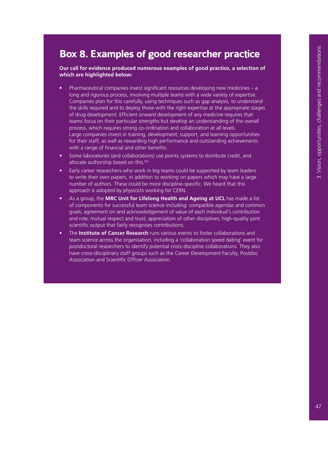# **Box 8. Examples of good researcher practice**

**Our call for evidence produced numerous examples of good practice, a selection of which are highlighted below:**

- Pharmaceutical companies invest significant resources developing new medicines a long and rigorous process, involving multiple teams with a wide variety of expertise. Companies plan for this carefully, using techniques such as gap analysis, to understand the skills required and to deploy those with the right expertise at the appropriate stages of drug development. Efficient onward development of any medicine requires that teams focus on their particular strengths but develop an understanding of the overall process, which requires strong co-ordination and collaboration at all levels. Large companies invest in training, development, support, and learning opportunities for their staff, as well as rewarding high performance and outstanding achievements with a range of financial and other benefits.
- Some laboratories (and collaborations) use points systems to distribute credit, and allocate authorship based on this.101
- Early career researchers who work in big teams could be supported by team leaders to write their own papers, in addition to working on papers which may have a large number of authors. These could be more discipline-specific. We heard that this approach is adopted by physicists working for CERN.
- As a group, the **MRC Unit for Lifelong Health and Ageing at UCL** has made a list of components for successful team science including: compatible agendas and common goals; agreement on and acknowledgement of value of each individual's contribution and role; mutual respect and trust; appreciation of other disciplines; high-quality joint scientific output that fairly recognises contributions.
- The **Institute of Cancer Research** runs various events to foster collaborations and team science across the organisation, including a 'collaboration speed dating' event for postdoctoral researchers to identify potential cross-discipline collaborations. They also have cross-disciplinary staff groups such as the Career Development Faculty, Postdoc Association and Scientific Officer Association.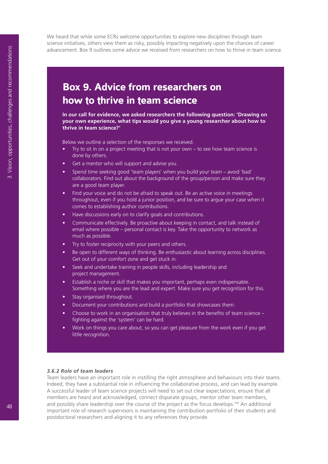We heard that while some ECRs welcome opportunities to explore new disciplines through team science initiatives, others view them as risky, possibly impacting negatively upon the chances of career advancement. Box 9 outlines some advice we received from researchers on how to thrive in team science.

# **Box 9. Advice from researchers on how to thrive in team science**

**In our call for evidence, we asked researchers the following question: 'Drawing on your own experience, what tips would you give a young researcher about how to thrive in team science?'**

Below we outline a selection of the responses we received.

- Try to sit in on a project meeting that is not your own  $-$  to see how team science is done by others.
- Get a mentor who will support and advise you.
- Spend time seeking good 'team players' when you build your team avoid 'bad' collaborators. Find out about the background of the group/person and make sure they are a good team player.
- Find your voice and do not be afraid to speak out. Be an active voice in meetings throughout, even if you hold a junior position, and be sure to argue your case when it comes to establishing author contributions.
- Have discussions early on to clarify goals and contributions.
- Communicate effectively. Be proactive about keeping in contact, and talk instead of email where possible – personal contact is key. Take the opportunity to network as much as possible.
- Try to foster reciprocity with your peers and others.
- Be open to different ways of thinking. Be enthusiastic about learning across disciplines. Get out of your comfort zone and get stuck in.
- Seek and undertake training in people skills, including leadership and project management.
- Establish a niche or skill that makes you important, perhaps even indispensable. Something where you are the lead and expert. Make sure you get recognition for this.
- Stay organised throughout.
- Document your contributions and build a portfolio that showcases them.
- Choose to work in an organisation that truly believes in the benefits of team science  $$ fighting against the 'system' can be hard.
- Work on things you care about, so you can get pleasure from the work even if you get little recognition.

#### *3.6.2 Role of team leaders*

Team leaders have an important role in instilling the right atmosphere and behaviours into their teams. Indeed, they have a substantial role in influencing the collaborative process, and can lead by example. A successful leader of team science projects will need to set out clear expectations, ensure that all members are heard and acknowledged, connect disparate groups, mentor other team members, and possibly share leadership over the course of the project as the focus develops.<sup>102</sup> An additional important role of research supervisors is maintaining the contribution portfolio of their students and postdoctoral researchers and aligning it to any references they provide.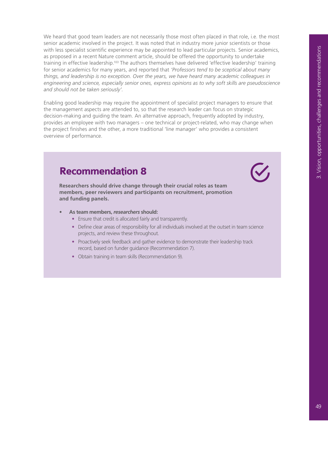We heard that good team leaders are not necessarily those most often placed in that role, i.e. the most senior academic involved in the project. It was noted that in industry more junior scientists or those with less specialist scientific experience may be appointed to lead particular projects. Senior academics, as proposed in a recent Nature comment article, should be offered the opportunity to undertake training in effective leadership.<sup>103</sup> The authors themselves have delivered 'effective leadership' training for senior academics for many years, and reported that *'Professors tend to be sceptical about many things, and leadership is no exception. Over the years, we have heard many academic colleagues in engineering and science, especially senior ones, express opinions as to why soft skills are pseudoscience and should not be taken seriously'.*

Enabling good leadership may require the appointment of specialist project managers to ensure that the management aspects are attended to, so that the research leader can focus on strategic decision-making and guiding the team. An alternative approach, frequently adopted by industry, provides an employee with two managers – one technical or project-related, who may change when the project finishes and the other, a more traditional 'line manager' who provides a consistent overview of performance.

# **Recommendation 8**

**Researchers should drive change through their crucial roles as team members, peer reviewers and participants on recruitment, promotion and funding panels.** 

- **• As team members,** *researchers* **should:**
	- **•** Ensure that credit is allocated fairly and transparently.
	- **•** Define clear areas of responsibility for all individuals involved at the outset in team science projects, and review these throughout.
	- **•** Proactively seek feedback and gather evidence to demonstrate their leadership track record, based on funder guidance (Recommendation 7).
	- **•** Obtain training in team skills (Recommendation 9).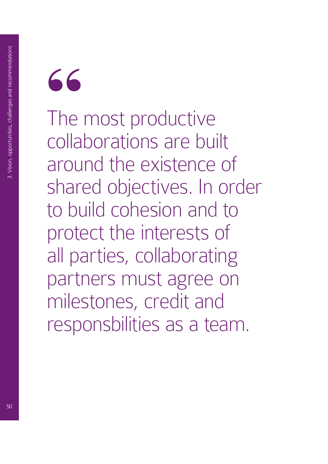

The most productive collaborations are built around the existence of shared objectives. In order to build cohesion and to protect the interests of all parties, collaborating partners must agree on milestones, credit and responsbilities as a team.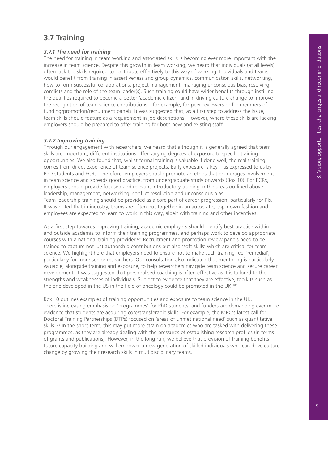# **3.7 Training**

#### *3.7.1 The need for training*

The need for training in team working and associated skills is becoming ever more important with the increase in team science. Despite this growth in team working, we heard that individuals (at all levels) often lack the skills required to contribute effectively to this way of working. Individuals and teams would benefit from training in assertiveness and group dynamics, communication skills, networking, how to form successful collaborations, project management, managing unconscious bias, resolving conflicts and the role of the team leader(s). Such training could have wider benefits through instilling the qualities required to become a better 'academic citizen' and in driving culture change to improve the recognition of team science contributions – for example, for peer reviewers or for members of funding/promotion/recruitment panels. It was suggested that, as a first step to address the issue, team skills should feature as a requirement in job descriptions. However, where these skills are lacking employers should be prepared to offer training for both new and existing staff.

#### *3.7.2 Improving training*

Through our engagement with researchers, we heard that although it is generally agreed that team skills are important, different institutions offer varying degrees of exposure to specific training opportunities. We also found that, whilst formal training is valuable if done well, the real training comes from direct experience of team science projects. Early exposure is key – as expressed to us by PhD students and ECRs. Therefore, employers should promote an ethos that encourages involvement in team science and spreads good practice, from undergraduate study onwards (Box 10). For ECRs, employers should provide focused and relevant introductory training in the areas outlined above: leadership, management, networking, conflict resolution and unconscious bias. Team leadership training should be provided as a core part of career progression, particularly for PIs. It was noted that in industry, teams are often put together in an autocratic, top-down fashion and employees are expected to learn to work in this way, albeit with training and other incentives.

As a first step towards improving training, academic employers should identify best practice within and outside academia to inform their training programmes, and perhaps work to develop appropriate courses with a national training provider.104 Recruitment and promotion review panels need to be trained to capture not just authorship contributions but also 'soft skills' which are critical for team science. We highlight here that employers need to ensure not to make such training feel 'remedial', particularly for more senior researchers. Our consultation also indicated that mentoring is particularly valuable, alongside training and exposure, to help researchers navigate team science and secure career development. It was suggested that personalised coaching is often effective as it is tailored to the strengths and weaknesses of individuals. Subject to evidence that they are effective, toolkits such as the one developed in the US in the field of oncology could be promoted in the UK.105

Box 10 outlines examples of training opportunities and exposure to team science in the UK. There is increasing emphasis on 'programmes' for PhD students, and funders are demanding ever more evidence that students are acquiring core/transferable skills. For example, the MRC's latest call for Doctoral Training Partnerships (DTPs) focused on 'areas of unmet national need' such as quantitative skills.<sup>106</sup> In the short term, this may put more strain on academics who are tasked with delivering these programmes, as they are already dealing with the pressures of establishing research profiles (in terms of grants and publications). However, in the long run, we believe that provision of training benefits future capacity building and will empower a new generation of skilled individuals who can drive culture change by growing their research skills in multidisciplinary teams.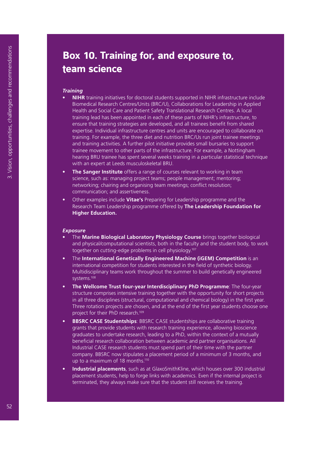# **Box 10. Training for, and exposure to, team science**

#### *Training*

- **• NIHR** training initiatives for doctoral students supported in NIHR infrastructure include Biomedical Research Centres/Units (BRC/U), Collaborations for Leadership in Applied Health and Social Care and Patient Safety Translational Research Centres. A local training lead has been appointed in each of these parts of NIHR's infrastructure, to ensure that training strategies are developed, and all trainees benefit from shared expertise. Individual infrastructure centres and units are encouraged to collaborate on training. For example, the three diet and nutrition BRC/Us run joint trainee meetings and training activities. A further pilot initiative provides small bursaries to support trainee movement to other parts of the infrastructure. For example, a Nottingham hearing BRU trainee has spent several weeks training in a particular statistical technique with an expert at Leeds musculoskeletal BRU.
- **The Sanger Institute** offers a range of courses relevant to working in team science, such as: managing project teams; people management; mentoring; networking; chairing and organising team meetings; conflict resolution; communication; and assertiveness.
- Other examples include **Vitae's** Preparing for Leadership programme and the Research Team Leadership programme offered by **The Leadership Foundation for Higher Education.**

#### *Exposure*

- The **Marine Biological Laboratory Physiology Course** brings together biological and physical/computational scientists, both in the faculty and the student body, to work together on cutting-edge problems in cell physiology.107
- The **International Genetically Engineered Machine (iGEM) Competition** is an international competition for students interested in the field of synthetic biology. Multidisciplinary teams work throughout the summer to build genetically engineered systems.108
- **• The Wellcome Trust four-year Interdisciplinary PhD Programme**: The four-year structure comprises intensive training together with the opportunity for short projects in all three disciplines (structural, computational and chemical biology) in the first year. Three rotation projects are chosen, and at the end of the first year students choose one project for their PhD research.109
- **• BBSRC CASE Studentships**: BBSRC CASE studentships are collaborative training grants that provide students with research training experience, allowing bioscience graduates to undertake research, leading to a PhD, within the context of a mutually beneficial research collaboration between academic and partner organisations. All Industrial CASE research students must spend part of their time with the partner company. BBSRC now stipulates a placement period of a minimum of 3 months, and up to a maximum of 18 months.<sup>110</sup>
- **• Industrial placements**, such as at GlaxoSmithKline, which houses over 300 industrial placement students, help to forge links with academics. Even if the internal project is terminated, they always make sure that the student still receives the training.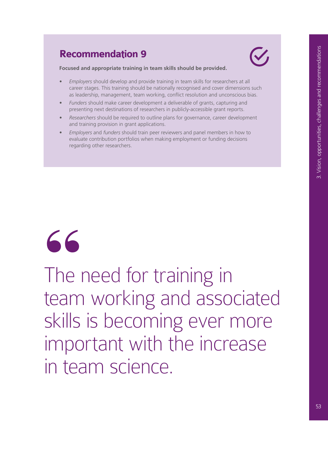# **Recommendation 9**



**Focused and appropriate training in team skills should be provided.**

- *• Employers* should develop and provide training in team skills for researchers at all career stages. This training should be nationally recognised and cover dimensions such as leadership, management, team working, conflict resolution and unconscious bias.
- *• Funders* should make career development a deliverable of grants, capturing and presenting next destinations of researchers in publicly-accessible grant reports.
- *• Researchers* should be required to outline plans for governance, career development and training provision in grant applications.
- *• Employers* and *funders* should train peer reviewers and panel members in how to evaluate contribution portfolios when making employment or funding decisions regarding other researchers.



The need for training in team working and associated skills is becoming ever more important with the increase in team science.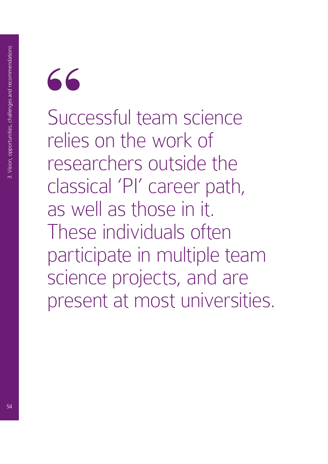

Successful team science relies on the work of researchers outside the classical 'PI' career path, as well as those in it. These individuals often participate in multiple team science projects, and are present at most universities.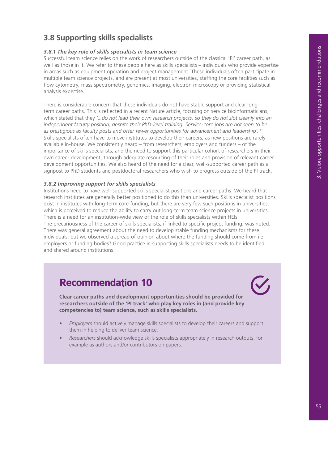# **3.8 Supporting skills specialists**

#### *3.8.1 The key role of skills specialists in team science*

Successful team science relies on the work of researchers outside of the classical 'PI' career path, as well as those in it. We refer to these people here as skills specialists – individuals who provide expertise in areas such as equipment operation and project management. These individuals often participate in multiple team science projects, and are present at most universities, staffing the core facilities such as flow cytometry, mass spectrometry, genomics, imaging, electron microscopy or providing statistical analysis expertise.

There is considerable concern that these individuals do not have stable support and clear longterm career paths. This is reflected in a recent Nature article, focusing on service bioinformaticians, which stated that they *'...do not lead their own research projects, so they do not slot cleanly into an independent faculty position, despite their PhD-level training. Service-core jobs are not seen to be as prestigious as faculty posts and offer fewer opportunities for advancement and leadership'.*<sup>111</sup> Skills specialists often have to move institutes to develop their careers, as new positions are rarely available in-house. We consistently heard – from researchers, employers and funders – of the importance of skills specialists, and the need to support this particular cohort of researchers in their own career development, through adequate resourcing of their roles and provision of relevant career development opportunities. We also heard of the need for a clear, well-supported career path as a signpost to PhD students and postdoctoral researchers who wish to progress outside of the PI track.

#### *3.8.2 Improving support for skills specialists*

Institutions need to have well-supported skills specialist positions and career paths. We heard that research institutes are generally better positioned to do this than universities. Skills specialist positions exist in institutes with long-term core funding, but there are very few such positions in universities, which is perceived to reduce the ability to carry out long-term team science projects in universities. There is a need for an institution-wide view of the role of skills specialists within HEIs. The precariousness of the career of skills specialists, if linked to specific project funding, was noted. There was general agreement about the need to develop stable funding mechanisms for these individuals, but we observed a spread of opinion about where the funding should come from i.e. employers or funding bodies? Good practice in supporting skills specialists needs to be identified and shared around institutions.

# **Recommendation 10**

**Clear career paths and development opportunities should be provided for researchers outside of the 'PI track' who play key roles in (and provide key competencies to) team science, such as skills specialists.**

- *• Employers* should actively manage skills specialists to develop their careers and support them in helping to deliver team science.
- *• Researchers* should acknowledge skills specialists appropriately in research outputs, for example as authors and/or contributors on papers.

 $\blacktriangledown$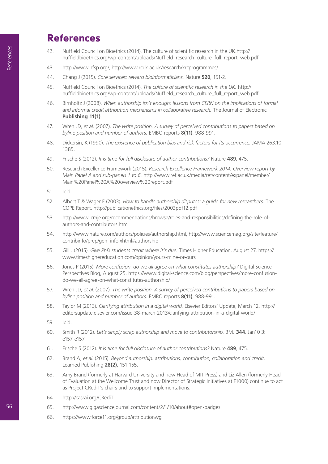# **References**

- 42. Nuffield Council on Bioethics (2014). The culture of scientific research in the UK.http:// nuffieldbioethics.org/wp-content/uploads/Nuffield\_research\_culture\_full\_report\_web.pdf
- 43. http://www.hfsp.org/, http://www.rcuk.ac.uk/research/xrcprogrammes/
- 44. Chang J (2015). *Core services: reward bioinformaticians.* Nature **520**, 151-2.
- 45. Nuffield Council on Bioethics (2014). *The culture of scientific research in the UK.* http:// nuffieldbioethics.org/wp-content/uploads/Nuffield\_research\_culture\_full\_report\_web.pdf
- 46. Birnholtz J (2008). *When authorship isn't enough: lessons from CERN on the implications of formal and informal credit attribution mechanisms in collaborative research.* The Journal of Electronic **Publishing 11(1)**.
- 47. Wren JD, *et al.* (2007). *The write position. A survey of perceived contributions to papers based on byline position and number of authors.* EMBO reports **8(11)**, 988-991.
- 48. Dickersin, K (1990). *The existence of publication bias and risk factors for its occurrence.* JAMA 263.10: 1385.
- 49. Frische S (2012). *It is time for full disclosure of author contributions?* Nature **489**, 475.
- 50. Research Excellence Framework (2015). *Research Excellence Framework 2014: Overview report by Main Panel A and sub-panels 1 to 6.* http://www.ref.ac.uk/media/ref/content/expanel/member/ Main%20Panel%20A%20overview%20report.pdf
- 51. Ibid.
- 52. Albert T & Wager E (2003). *How to handle authorship disputes: a guide for new researchers.* The COPE Report. http://publicationethics.org/files/2003pdf12.pdf
- 53. http://www.icmje.org/recommendations/browse/roles-and-responsibilities/defining-the-role-ofauthors-and-contributors.html
- 54. http://www.nature.com/authors/policies/authorship.html, http://www.sciencemag.org/site/feature/ contribinfo/prep/gen\_info.xhtml#authorship
- 55. Gill J (2015). *Give PhD students credit where it's due.* Times Higher Education, August 27. https:// www.timeshighereducation.com/opinion/yours-mine-or-ours
- 56. Jones P (2015). *More confusion: do we all agree on what constitutes authorship?* Digital Science Perspectives Blog, August 25. https://www.digital-science.com/blog/perspectives/more-confusiondo-we-all-agree-on-what-constitutes-authorship/
- 57. Wren JD, *et al*. (2007). *The write position. A survey of perceived contributions to papers based on byline position and number of authors.* EMBO reports **8(11)**, 988-991.
- 58. Taylor M (2013). *Clarifying attribution in a digital world.* Elsevier Editors' Update, March 12. http:// editorsupdate.elsevier.com/issue-38-march-2013/clarifying-attribution-in-a-digital-world/
- 59. Ibid.
- 60. Smith R (2012). *Let's simply scrap authorship and move to contributorship.* BMJ **344**. Jan10 3: e157-e157.
- 61. Frische S (2012). *It is time for full disclosure of author contributions?* Nature **489**, 475.
- 62. Brand A, *et al*. (2015). *Beyond authorship: attributions, contribution, collaboration and credit.* Learned Publishing **28(2)**, 151-155.
- 63. Amy Brand (formerly at Harvard University and now Head of MIT Press) and Liz Allen (formerly Head of Evaluation at the Wellcome Trust and now Director of Strategic Initiatives at F1000) continue to act as Project CRediT's chairs and to support implementations.
- 64. http://casrai.org/CRediT
- 65. http://www.gigasciencejournal.com/content/2/1/10/about#open-badges
- 66. https://www.force11.org/group/attributionwg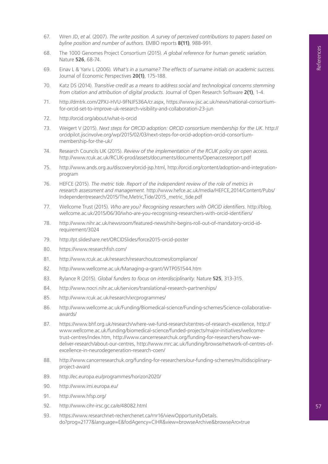- 67. Wren JD, *et al.* (2007). *The write position. A survey of perceived contributions to papers based on byline position and number of authors.* EMBO reports **8(11)**, 988-991.
- 68. The 1000 Genomes Project Consortium (2015). *A global reference for human genetic variation.*  Nature **526**, 68-74.
- 69. Einav L & Yariv L (2006). *What's in a surname? The effects of surname initials on academic success.*  Journal of Economic Perspectives **20(1)**, 175-188.
- 70. Katz DS (2014). *Transitive credit as a means to address social and technological concerns stemming from citation and attribution of digital products.* Journal of Open Research Software **2(1)**, 1-4.
- 71. http://dmtrk.com/2PXJ-HVU-9FNJFS36A/cr.aspx, https://www.jisc.ac.uk/news/national-consortiumfor-orcid-set-to-improve-uk-research-visibility-and-collaboration-23-jun
- 72. http://orcid.org/about/what-is-orcid
- 73. Weigert V (2015). *Next steps for ORCID adoption: ORCID consortium membership for the UK*. http:// orcidpilot.jiscinvolve.org/wp/2015/02/03/next-steps-for-orcid-adoption-orcid-consortiummembership-for-the-uk/
- 74. Research Councils UK (2015). *Review of the implementation of the RCUK policy on open access.*  http://www.rcuk.ac.uk/RCUK-prod/assets/documents/documents/Openaccessreport.pdf
- 75. http://www.ands.org.au/discovery/orcid-jsp.html, http://orcid.org/content/adoption-and-integrationprogram
- 76. HEFCE (2015). *The metric tide. Report of the independent review of the role of metrics in research assessment and management.* http://www.hefce.ac.uk/media/HEFCE,2014/Content/Pubs/ Independentresearch/2015/The,Metric,Tide/2015\_metric\_tide.pdf
- 77. Wellcome Trust (2015). *Who are you? Recognising researchers with ORCID identifiers.* http://blog. wellcome.ac.uk/2015/06/30/who-are-you-recognising-researchers-with-orcid-identifiers/
- 78. http://www.nihr.ac.uk/newsroom/featured-news/nihr-begins-roll-out-of-mandatory-orcid-idrequirement/3024
- 79. http://pt.slideshare.net/ORCIDSlides/force2015-orcid-poster
- 80. https://www.researchfish.com/
- 81. http://www.rcuk.ac.uk/research/researchoutcomes/compliance/
- 82. http://www.wellcome.ac.uk/Managing-a-grant/WTP051544.htm
- 83. Rylance R (2015). *Global funders to focus on interdisciplinarity.* Nature **525**, 313-315.
- 84. http://www.nocri.nihr.ac.uk/services/translational-research-partnerships/
- 85. http://www.rcuk.ac.uk/research/xrcprogrammes/
- 86. http://www.wellcome.ac.uk/Funding/Biomedical-science/Funding-schemes/Science-collaborativeawards/
- 87. https://www.bhf.org.uk/research/where-we-fund-research/centres-of-research-excellence, http:// www.wellcome.ac.uk/funding/biomedical-science/funded-projects/major-initiatives/wellcometrust-centres/index.htm, http://www.cancerresearchuk.org/funding-for-researchers/how-wedeliver-research/about-our-centres, http://www.mrc.ac.uk/funding/browse/network-of-centres-ofexcellence-in-neurodegeneration-research-coen/
- 88. http://www.cancerresearchuk.org/funding-for-researchers/our-funding-schemes/multidisciplinaryproject-award
- 89. http://ec.europa.eu/programmes/horizon2020/
- 90. http://www.imi.europa.eu/
- 91. http://www.hfsp.org/
- 92. http://www.cihr-irsc.gc.ca/e/48082.html
- 93. https://www.researchnet-recherchenet.ca/rnr16/viewOpportunityDetails. do?prog=2177&language=E&fodAgency=CIHR&view=browseArchive&browseArc=true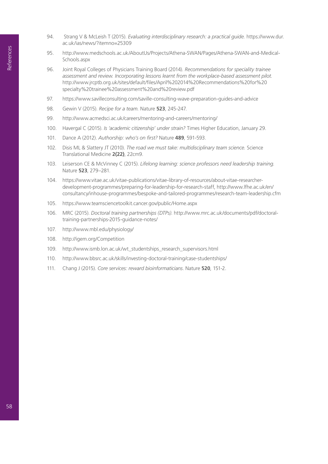- 94. Strang V & McLeish T (2015). *Evaluating interdisciplinary research: a practical guide.* https://www.dur. ac.uk/ias/news/?itemno=25309
- 95. http://www.medschools.ac.uk/AboutUs/Projects/Athena-SWAN/Pages/Athena-SWAN-and-Medical-Schools.aspx
- 96. Joint Royal Colleges of Physicians Training Board (2014). *Recommendations for speciality trainee assessment and review. Incorporating lessons learnt from the workplace-based assessment pilot.* http://www.jrcptb.org.uk/sites/default/files/April%202014%20Recommendations%20for%20 specialty%20trainee%20assessment%20and%20review.pdf
- 97. https://www.savilleconsulting.com/saville-consulting-wave-preparation-guides-and-advice
- 98. Gewin V (2015). *Recipe for a team.* Nature **523**, 245-247.
- 99. http://www.acmedsci.ac.uk/careers/mentoring-and-careers/mentoring/
- 100. Havergal C (2015). *Is 'academic citizenship' under strain?* Times Higher Education, January 29.
- 101. Dance A (2012). *Authorship: who's on first?* Nature **489**, 591-593.
- 102. Disis ML & Slattery JT (2010). *The road we must take: multidisciplinary team science.* Science Translational Medicine **2(22)**, 22cm9.
- 103. Leiserson CE & McVinney C (2015). *Lifelong learning: science professors need leadership training.*  Nature **523**, 279–281.
- 104. https://www.vitae.ac.uk/vitae-publications/vitae-library-of-resources/about-vitae-researcherdevelopment-programmes/preparing-for-leadership-for-research-staff, http://www.lfhe.ac.uk/en/ consultancy/inhouse-programmes/bespoke-and-tailored-programmes/research-team-leadership.cfm
- 105. https://www.teamsciencetoolkit.cancer.gov/public/Home.aspx
- 106. MRC (2015). *Doctoral training partnerships (DTPs)*. http://www.mrc.ac.uk/documents/pdf/doctoraltraining-partnerships-2015-guidance-notes/
- 107. http://www.mbl.edu/physiology/
- 108. http://igem.org/Competition
- 109. http://www.ismb.lon.ac.uk/wt\_studentships\_research\_supervisors.html
- 110. http://www.bbsrc.ac.uk/skills/investing-doctoral-training/case-studentships/
- 111. Chang J (2015). *Core services: reward bioinformaticians*. Nature **520**, 151-2.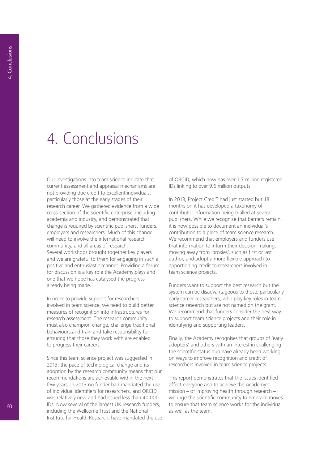# 4. Conclusions

Our investigations into team science indicate that current assessment and appraisal mechanisms are not providing due credit to excellent individuals, particularly those at the early stages of their research career. We gathered evidence from a wide cross-section of the scientific enterprise, including academia and industry, and demonstrated that change is required by scientific publishers, funders, employers and researchers. Much of this change will need to involve the international research community, and all areas of research. Several workshops brought together key players and we are grateful to them for engaging in such a positive and enthusiastic manner. Providing a forum for discussion is a key role the Academy plays and one that we hope has catalysed the progress already being made.

In order to provide support for researchers involved in team science, we need to build better measures of recognition into infrastructures for research assessment. The research community must also champion change, challenge traditional behaviours,and train and take responsibility for ensuring that those they work with are enabled to progress their careers.

Since this team science project was suggested in 2013, the pace of technological change and its adoption by the research community means that our recommendations are achievable within the next few years. In 2013 no funder had mandated the use of individual identifiers for researchers, and ORCID was relatively new and had issued less than 40,000 IDs. Now several of the largest UK research funders, including the Wellcome Trust and the National Institute for Health Research, have mandated the use

of ORCID, which now has over 1.7 million registered IDs linking to over 9.6 million outputs.

In 2013, Project CrediT had just started but 18 months on it has developed a taxonomy of contributor information being trialled at several publishers. While we recognise that barriers remain, it is now possible to document an individual's contribution to a piece of team science research. We recommend that employers and funders use that information to inform their decision-making, moving away from 'proxies', such as first or last author, and adopt a more flexible approach to apportioning credit to researchers involved in team science projects.

Funders want to support the best research but the system can be disadvantageous to those, particularly early career researchers, who play key roles in team science research but are not named on the grant. We recommend that funders consider the best way to support team science projects and their role in identifying and supporting leaders.

Finally, the Academy recognises that groups of 'early adopters' and others with an interest in challenging the scientific status quo have already been working on ways to improve recognition and credit of researchers involved in team science projects.

This report demonstrates that the issues identified affect everyone and to achieve the Academy's mission – of improving health through research – we urge the scientific community to embrace moves to ensure that team science works for the individual as well as the team.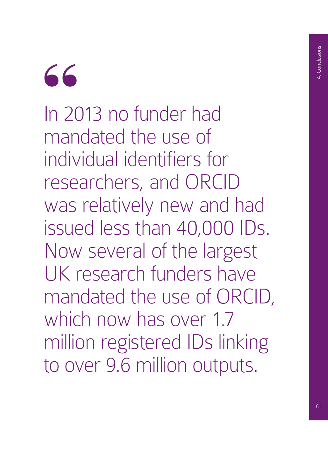# "

In 2013 no funder had mandated the use of individual identifiers for researchers, and ORCID was relatively new and had issued less than 40,000 IDs. Now several of the largest UK research funders have mandated the use of ORCID, which now has over 1.7 million registered IDs linking to over 9.6 million outputs.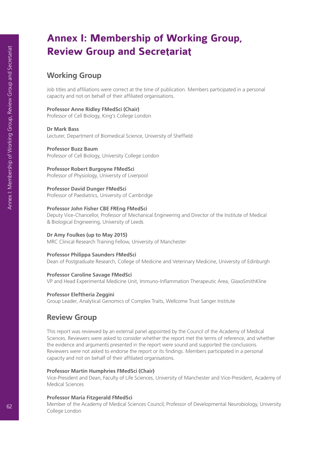# **Annex I: Membership of Working Group, Review Group and Secretariat**

#### **Working Group**

Job titles and affiliations were correct at the time of publication. Members participated in a personal capacity and not on behalf of their affiliated organisations.

#### **Professor Anne Ridley FMedSci (Chair)**

Professor of Cell Biology, King's College London

#### **Dr Mark Bass**

Lecturer, Department of Biomedical Science, University of Sheffield

#### **Professor Buzz Baum**

Professor of Cell Biology, University College London

#### **Professor Robert Burgoyne FMedSci**

Professor of Physiology, University of Liverpool

#### **Professor David Dunger FMedSci**

Professor of Paediatrics, University of Cambridge

#### **Professor John Fisher CBE FREng FMedSci**

Deputy Vice-Chancellor, Professor of Mechanical Engineering and Director of the Institute of Medical & Biological Engineering, University of Leeds

#### **Dr Amy Foulkes (up to May 2015)**

MRC Clinical Research Training Fellow, University of Manchester

#### **Professor Philippa Saunders FMedSci**

Dean of Postgraduate Research, College of Medicine and Veterinary Medicine, University of Edinburgh

#### **Professor Caroline Savage FMedSci**

VP and Head Experimental Medicine Unit, Immuno-Inflammation Therapeutic Area, GlaxoSmithKline

#### **Professor Eleftheria Zeggini**

Group Leader, Analytical Genomics of Complex Traits, Wellcome Trust Sanger Institute

#### **Review Group**

This report was reviewed by an external panel appointed by the Council of the Academy of Medical Sciences. Reviewers were asked to consider whether the report met the terms of reference, and whether the evidence and arguments presented in the report were sound and supported the conclusions. Reviewers were not asked to endorse the report or its findings. Members participated in a personal capacity and not on behalf of their affiliated organisations.

#### **Professor Martin Humphries FMedSci (Chair)**

Vice-President and Dean, Faculty of Life Sciences, University of Manchester and Vice-President, Academy of Medical Sciences

#### **Professor Maria Fitzgerald FMedSci**

Member of the Academy of Medical Sciences Council; Professor of Developmental Neurobiology, University College London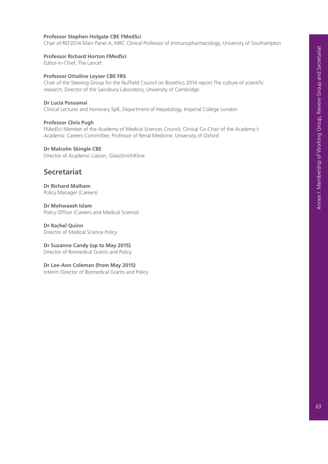#### **Professor Stephen Holgate CBE FMedSci**

Chair of REF2014 Main Panel A; MRC Clinical Professor of Immunopharmacology, University of Southampton

#### **Professor Richard Horton FMedSci**

Editor-in-Chief, The Lancet

#### **Professor Ottoline Leyser CBE FRS**

Chair of the Steering Group for the Nuffield Council on Bioethics 2014 report The culture of scientific research; Director of the Sainsbury Laboratory, University of Cambridge

#### **Dr Lucia Possamai**

Clinical Lecturer and Honorary SpR, Department of Hepatology, Imperial College London

#### **Professor Chris Pugh**

FMedSci Member of the Academy of Medical Sciences Council; Clinical Co-Chair of the Academy's Academic Careers Committee; Professor of Renal Medicine, University of Oxford

#### **Dr Malcolm Skingle CBE**

Director of Academic Liaison, GlaxoSmithKline

#### **Secretariat**

**Dr Richard Malham**  Policy Manager (Careers)

**Dr Mehwaesh Islam**  Policy Officer (Careers and Medical Science)

**Dr Rachel Quinn**  Director of Medical Science Policy

**Dr Suzanne Candy (up to May 2015)** 

Director of Biomedical Grants and Policy

#### **Dr Lee-Ann Coleman (from May 2015)**

Interim Director of Biomedical Grants and Policy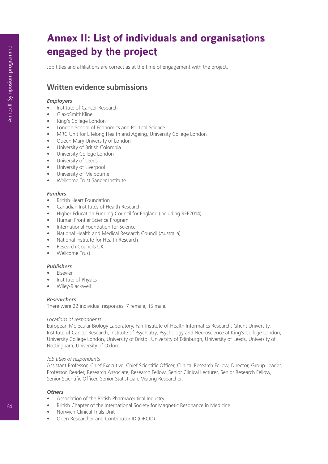# **Annex II: List of individuals and organisations engaged by the project**

Job titles and affiliations are correct as at the time of engagement with the project.

# **Written evidence submissions**

#### *Employers*

- Institute of Cancer Research
- GlaxoSmithKline
- King's College London
- London School of Economics and Political Science
- MRC Unit for Lifelong Health and Ageing, University College London
- Queen Mary University of London
- University of British Colombia
- University College London
- University of Leeds
- University of Liverpool
- University of Melbourne
- Wellcome Trust Sanger Institute

#### *Funders*

- British Heart Foundation
- Canadian Institutes of Health Research
- Higher Education Funding Council for England (including REF2014)
- Human Frontier Science Program
- International Foundation for Science
- National Health and Medical Research Council (Australia)
- National Institute for Health Research
- Research Councils UK
- Wellcome Trust

#### *Publishers*

- Elsevier
- Institute of Physics
- Wiley-Blackwell

#### *Researchers*

There were 22 individual responses: 7 female, 15 male.

#### *Locations of respondents*

European Molecular Biology Laboratory, Farr Institute of Health Informatics Research, Ghent University, Institute of Cancer Research, Institute of Psychiatry, Psychology and Neuroscience at King's College London, University College London, University of Bristol, University of Edinburgh, University of Leeds, University of Nottingham, University of Oxford.

#### *Job titles of respondents*

Assistant Professor, Chief Executive, Chief Scientific Officer, Clinical Research Fellow, Director, Group Leader, Professor, Reader, Research Associate, Research Fellow, Senior Clinical Lecturer, Senior Research Fellow, Senior Scientific Officer, Senior Statistician, Visiting Researcher.

#### *Others*

- Association of the British Pharmaceutical Industry
- British Chapter of the International Society for Magnetic Resonance in Medicine
- Norwich Clinical Trials Unit
- Open Researcher and Contributor ID (ORCID)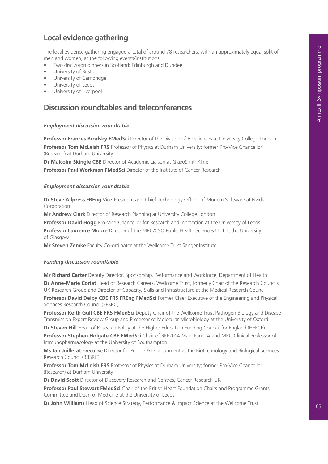# **Local evidence gathering**

The local evidence gathering engaged a total of around 78 researchers, with an approximately equal split of men and women, at the following events/institutions:

- Two discussion dinners in Scotland: Edinburgh and Dundee
- University of Bristol
- University of Cambridge
- University of Leeds
- University of Liverpool

#### **Discussion roundtables and teleconferences**

#### *Employment discussion roundtable*

**Professor Frances Brodsky FMedSci** Director of the Division of Biosciences at University College London **Professor Tom McLeish FRS** Professor of Physics at Durham University; former Pro-Vice Chancellor (Research) at Durham University

**Dr Malcolm Skingle CBE** Director of Academic Liaison at GlaxoSmithKline

**Professor Paul Workman FMedSci** Director of the Institute of Cancer Research

#### *Employment discussion roundtable*

**Dr Steve Allpress FREng** Vice-President and Chief Technology Officer of Modem Software at Nvidia Corporation

**Mr Andrew Clark** Director of Research Planning at University College London

**Professor David Hogg** Pro-Vice-Chancellor for Research and Innovation at the University of Leeds **Professor Laurence Moore** Director of the MRC/CSO Public Health Sciences Unit at the University

of Glasgow

**Mr Steven Zemke** Faculty Co-ordinator at the Wellcome Trust Sanger Institute

#### *Funding discussion roundtable*

**Mr Richard Carter** Deputy Director, Sponsorship, Performance and Workforce, Department of Health

**Dr Anne-Marie Coriat** Head of Research Careers, Wellcome Trust, formerly Chair of the Research Councils UK Research Group and Director of Capacity, Skills and Infrastructure at the Medical Research Council

**Professor David Delpy CBE FRS FREng FMedSci** Former Chief Executive of the Engineering and Physical Sciences Research Council (EPSRC)

**Professor Keith Gull CBE FRS FMedSci** Deputy Chair of the Wellcome Trust Pathogen Biology and Disease Transmission Expert Review Group and Professor of Molecular Microbiology at the University of Oxford

**Dr Steven Hill** Head of Research Policy at the Higher Education Funding Council for England (HEFCE) **Professor Stephen Holgate CBE FMedSci** Chair of REF2014 Main Panel A and MRC Clinical Professor of Immunopharmacology at the University of Southampton

**Ms Jan Juillerat** Executive Director for People & Development at the Biotechnology and Biological Sciences Research Council (BBSRC)

**Professor Tom McLeish FRS** Professor of Physics at Durham University; former Pro-Vice Chancellor (Research) at Durham University

**Dr David Scott** Director of Discovery Research and Centres, Cancer Research UK

**Professor Paul Stewart FMedSci** Chair of the British Heart Foundation Chairs and Programme Grants Committee and Dean of Medicine at the University of Leeds

**Dr John Williams** Head of Science Strategy, Performance & Impact Science at the Wellcome Trust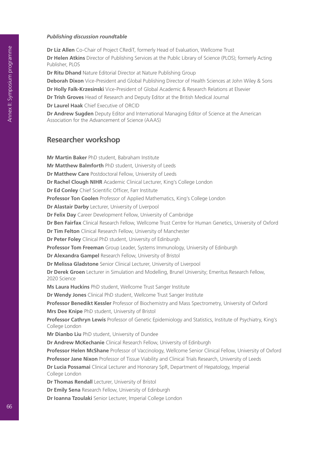#### *Publishing discussion roundtable*

**Dr Liz Allen** Co-Chair of Project CRediT, formerly Head of Evaluation, Wellcome Trust **Dr Helen Atkins** Director of Publishing Services at the Public Library of Science (PLOS); formerly Acting Publisher, PLOS

**Dr Ritu Dhand** Nature Editorial Director at Nature Publishing Group

**Deborah Dixon** Vice-President and Global Publishing Director of Health Sciences at John Wiley & Sons

**Dr Holly Falk-Krzesinski** Vice-President of Global Academic & Research Relations at Elsevier

**Dr Trish Groves** Head of Research and Deputy Editor at the British Medical Journal

**Dr Laurel Haak** Chief Executive of ORCID

**Dr Andrew Sugden** Deputy Editor and International Managing Editor of Science at the American Association for the Advancement of Science (AAAS)

#### **Researcher workshop**

**Mr Martin Baker** PhD student, Babraham Institute **Mr Matthew Balmforth** PhD student, University of Leeds **Dr Matthew Care** Postdoctoral Fellow, University of Leeds **Dr Rachel Clough NIHR** Academic Clinical Lecturer, King's College London **Dr Ed Conley** Chief Scientific Officer, Farr Institute **Professor Ton Coolen** Professor of Applied Mathematics, King's College London **Dr Alastair Darby** Lecturer, University of Liverpool **Dr Felix Day** Career Development Fellow, University of Cambridge **Dr Ben Fairfax** Clinical Research Fellow, Wellcome Trust Centre for Human Genetics, University of Oxford **Dr Tim Felton** Clinical Research Fellow, University of Manchester **Dr Peter Foley** Clinical PhD student, University of Edinburgh **Professor Tom Freeman** Group Leader, Systems Immunology, University of Edinburgh **Dr Alexandra Gampel** Research Fellow, University of Bristol **Dr Melissa Gladstone** Senior Clinical Lecturer, University of Liverpool **Dr Derek Groen** Lecturer in Simulation and Modelling, Brunel University; Emeritus Research Fellow, 2020 Science **Ms Laura Huckins** PhD student, Wellcome Trust Sanger Institute **Dr Wendy Jones** Clinical PhD student, Wellcome Trust Sanger Institute **Professor Benedikt Kessler** Professor of Biochemistry and Mass Spectrometry, University of Oxford **Mrs Dee Knipe** PhD student, University of Bristol **Professor Cathryn Lewis** Professor of Genetic Epidemiology and Statistics, Institute of Psychiatry, King's College London **Mr Dianbo Liu** PhD student, University of Dundee **Dr Andrew McKechanie** Clinical Research Fellow, University of Edinburgh **Professor Helen McShane** Professor of Vaccinology, Wellcome Senior Clinical Fellow, University of Oxford **Professor Jane Nixon** Professor of Tissue Viability and Clinical Trials Research, University of Leeds **Dr Lucia Possamai** Clinical Lecturer and Honorary SpR, Department of Hepatology, Imperial College London **Dr Thomas Rendall** Lecturer, University of Bristol **Dr Emily Sena** Research Fellow, University of Edinburgh

**Dr Ioanna Tzoulaki** Senior Lecturer, Imperial College London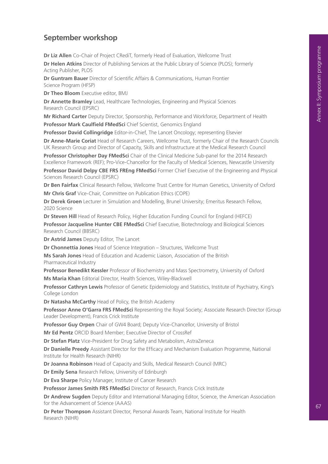# **September workshop**

**Dr Liz Allen** Co-Chair of Project CRediT, formerly Head of Evaluation, Wellcome Trust

**Dr Helen Atkins** Director of Publishing Services at the Public Library of Science (PLOS); formerly Acting Publisher, PLOS

**Dr Guntram Bauer** Director of Scientific Affairs & Communications, Human Frontier Science Program (HFSP)

**Dr Theo Bloom** Executive editor, BMJ

**Dr Annette Bramley** Lead, Healthcare Technologies, Engineering and Physical Sciences Research Council (EPSRC)

**Mr Richard Carter** Deputy Director, Sponsorship, Performance and Workforce, Department of Health **Professor Mark Caulfield FMedSci** Chief Scientist, Genomics England

**Professor David Collingridge** Editor-in-Chief, The Lancet Oncology; representing Elsevier

**Dr Anne-Marie Coriat** Head of Research Careers, Wellcome Trust, formerly Chair of the Research Councils UK Research Group and Director of Capacity, Skills and Infrastructure at the Medical Research Council

**Professor Christopher Day FMedSci** Chair of the Clinical Medicine Sub-panel for the 2014 Research Excellence Framework (REF); Pro-Vice-Chancellor for the Faculty of Medical Sciences, Newcastle University

**Professor David Delpy CBE FRS FREng FMedSci** Former Chief Executive of the Engineering and Physical Sciences Research Council (EPSRC)

**Dr Ben Fairfax** Clinical Research Fellow, Wellcome Trust Centre for Human Genetics, University of Oxford **Mr Chris Graf** Vice-Chair, Committee on Publication Ethics (COPE)

**Dr Derek Groen** Lecturer in Simulation and Modelling, Brunel University; Emeritus Research Fellow, 2020 Science

**Dr Steven Hill** Head of Research Policy, Higher Education Funding Council for England (HEFCE)

**Professor Jacqueline Hunter CBE FMedSci** Chief Executive, Biotechnology and Biological Sciences Research Council (BBSRC)

**Dr Astrid James** Deputy Editor, The Lancet

**Dr Chonnettia Jones** Head of Science Integration – Structures, Wellcome Trust

**Ms Sarah Jones** Head of Education and Academic Liaison, Association of the British Pharmaceutical Industry

**Professor Benedikt Kessler** Professor of Biochemistry and Mass Spectrometry, University of Oxford **Ms Maria Khan** Editorial Director, Health Sciences, Wiley-Blackwell

**Professor Cathryn Lewis** Professor of Genetic Epidemiology and Statistics, Institute of Psychiatry, King's College London

**Dr Natasha McCarthy** Head of Policy, the British Academy

**Professor Anne O'Garra FRS FMedSci** Representing the Royal Society; Associate Research Director (Group Leader Development), Francis Crick Institute

**Professor Guy Orpen** Chair of GW4 Board; Deputy Vice-Chancellor, University of Bristol

**Mr Ed Pentz** ORCID Board Member; Executive Director of CrossRef

**Dr Stefan Platz** Vice-President for Drug Safety and Metabolism, AstraZeneca

**Dr Danielle Preedy** Assistant Director for the Efficacy and Mechanism Evaluation Programme, National Institute for Health Research (NIHR)

**Dr Joanna Robinson** Head of Capacity and Skills, Medical Research Council (MRC)

**Dr Emily Sena** Research Fellow, University of Edinburgh

**Dr Eva Sharpe** Policy Manager, Institute of Cancer Research

**Professor James Smith FRS FMedSci** Director of Research, Francis Crick Institute

**Dr Andrew Sugden** Deputy Editor and International Managing Editor, Science, the American Association for the Advancement of Science (AAAS)

**Dr Peter Thompson** Assistant Director, Personal Awards Team, National Institute for Health Research (NIHR)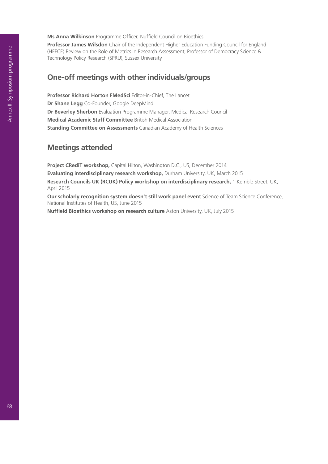**Ms Anna Wilkinson** Programme Officer, Nuffield Council on Bioethics

**Professor James Wilsdon** Chair of the Independent Higher Education Funding Council for England (HEFCE) Review on the Role of Metrics in Research Assessment; Professor of Democracy Science & Technology Policy Research (SPRU), Sussex University

# **One-off meetings with other individuals/groups**

**Professor Richard Horton FMedSci** Editor-in-Chief, The Lancet **Dr Shane Legg** Co-Founder, Google DeepMind **Dr Beverley Sherbon** Evaluation Programme Manager, Medical Research Council **Medical Academic Staff Committee** British Medical Association **Standing Committee on Assessments** Canadian Academy of Health Sciences

### **Meetings attended**

**Project CRediT workshop,** Capital Hilton, Washington D.C., US, December 2014 **Evaluating interdisciplinary research workshop,** Durham University, UK, March 2015 **Research Councils UK (RCUK) Policy workshop on interdisciplinary research,** 1 Kemble Street, UK, April 2015

**Our scholarly recognition system doesn't still work panel event** Science of Team Science Conference, National Institutes of Health, US, June 2015

**Nuffield Bioethics workshop on research culture** Aston University, UK, July 2015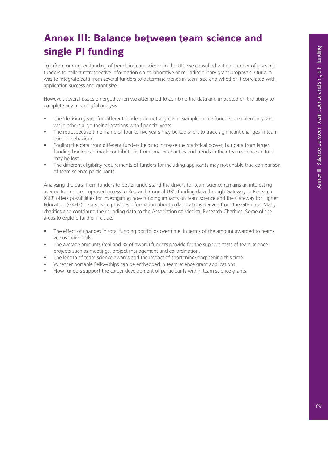# **Annex III: Balance between team science and single PI funding**

To inform our understanding of trends in team science in the UK, we consulted with a number of research funders to collect retrospective information on collaborative or multidisciplinary grant proposals. Our aim was to integrate data from several funders to determine trends in team size and whether it correlated with application success and grant size.

However, several issues emerged when we attempted to combine the data and impacted on the ability to complete any meaningful analysis: • The 'decision years' for different funders do not align. For example, some funders use calendar years

- while others align their allocations with financial years.
- The retrospective time frame of four to five years may be too short to track significant changes in team science behaviour.
- Pooling the data from different funders helps to increase the statistical power, but data from larger funding bodies can mask contributions from smaller charities and trends in their team science culture may be lost.
- The different eligibility requirements of funders for including applicants may not enable true comparison of team science participants.

Analysing the data from funders to better understand the drivers for team science remains an interesting avenue to explore. Improved access to Research Council UK's funding data through Gateway to Research (GtR) offers possibilities for investigating how funding impacts on team science and the Gateway for Higher Education (G4HE) beta service provides information about collaborations derived from the GtR data. Many charities also contribute their funding data to the Association of Medical Research Charities. Some of the areas to explore further include:

- The effect of changes in total funding portfolios over time, in terms of the amount awarded to teams versus individuals.
- The average amounts (real and % of award) funders provide for the support costs of team science projects such as meetings, project management and co-ordination.
- The length of team science awards and the impact of shortening/lengthening this time.
- Whether portable Fellowships can be embedded in team science grant applications.
- How funders support the career development of participants within team science grants.